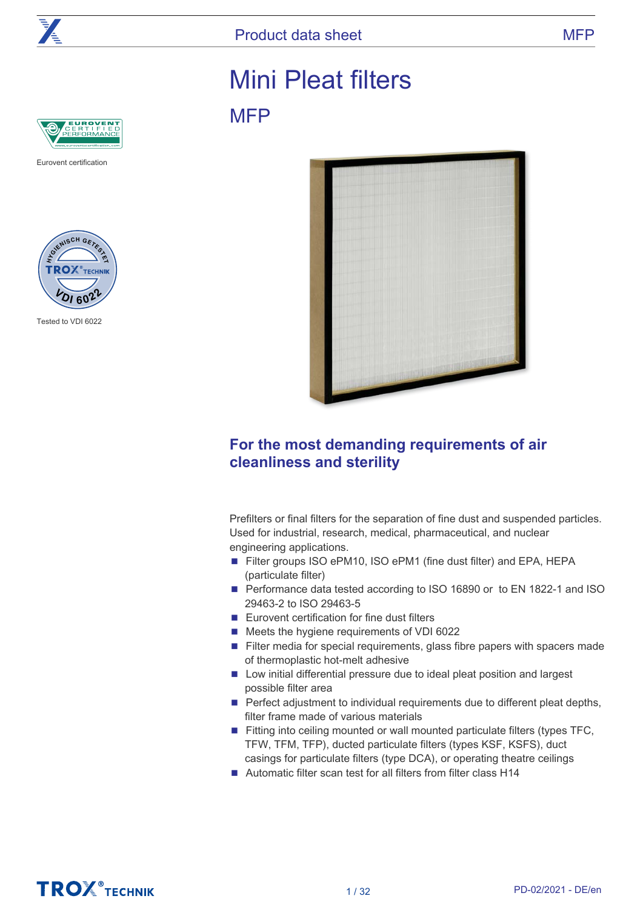

**MFP** 

# Mini Pleat filters



Eurovent certification



Tested to VDI 6022



# **For the most demanding requirements of air cleanliness and sterility**

Prefilters or final filters for the separation of fine dust and suspended particles. Used for industrial, research, medical, pharmaceutical, and nuclear engineering applications.

- Filter groups ISO ePM10, ISO ePM1 (fine dust filter) and EPA, HEPA (particulate filter)
- Performance data tested according to ISO 16890 or to EN 1822-1 and ISO 29463-2 to ISO 29463-5
- Eurovent certification for fine dust filters
- Meets the hygiene requirements of VDI 6022
- Filter media for special requirements, glass fibre papers with spacers made of thermoplastic hot-melt adhesive
- Low initial differential pressure due to ideal pleat position and largest possible filter area
- Perfect adjustment to individual requirements due to different pleat depths, filter frame made of various materials
- Fitting into ceiling mounted or wall mounted particulate filters (types TFC, TFW, TFM, TFP), ducted particulate filters (types KSF, KSFS), duct casings for particulate filters (type DCA), or operating theatre ceilings
- Automatic filter scan test for all filters from filter class H14

# **TROX**<sup>®</sup>TECHNIK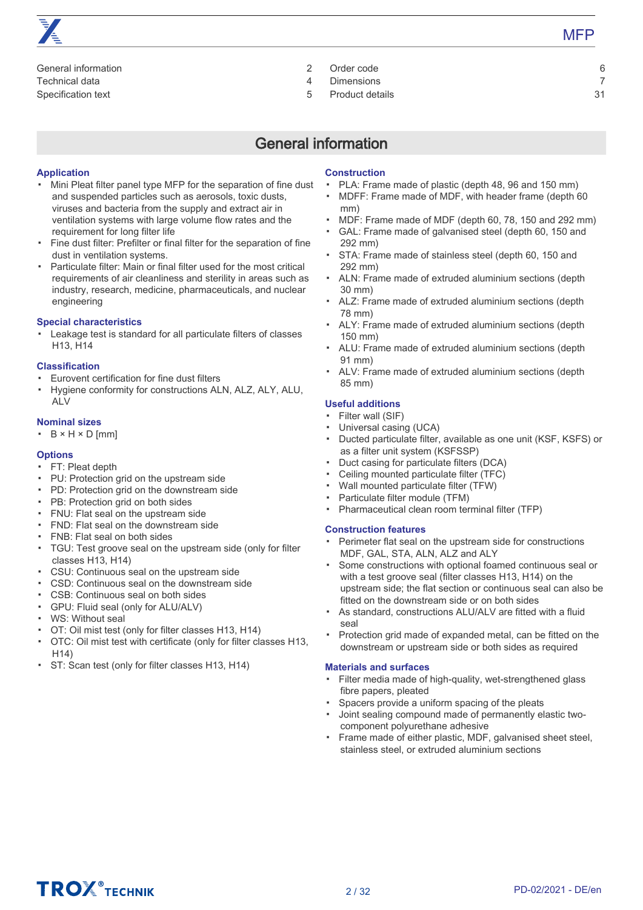# [General information 2](#page-1-0) [Technical data 4](#page-3-0) [Specification text 5](#page-4-0)

- [Order code 6](#page-5-0) [Dimensions 7](#page-6-0)
- [Product details 31](#page-30-0)

# General information

# <span id="page-1-0"></span>**Application**

- Mini Pleat filter panel type MFP for the separation of fine dust and suspended particles such as aerosols, toxic dusts, viruses and bacteria from the supply and extract air in ventilation systems with large volume flow rates and the requirement for long filter life
- Fine dust filter: Prefilter or final filter for the separation of fine dust in ventilation systems.
- Particulate filter: Main or final filter used for the most critical requirements of air cleanliness and sterility in areas such as industry, research, medicine, pharmaceuticals, and nuclear engineering

# **Special characteristics**

▪ Leakage test is standard for all particulate filters of classes H13, H14

# **Classification**

- Eurovent certification for fine dust filters
- Hygiene conformity for constructions ALN, ALZ, ALY, ALU, ALV

### **Nominal sizes**

▪  $B \times H \times D$  [mm]

# **Options**

- FT: Pleat depth
- PU: Protection grid on the upstream side
- PD: Protection grid on the downstream side
- PB: Protection grid on both sides
- FNU: Flat seal on the upstream side
- FND: Flat seal on the downstream side
- FNB: Flat seal on both sides
- TGU: Test groove seal on the upstream side (only for filter classes H13, H14)
- CSU: Continuous seal on the upstream side
- CSD: Continuous seal on the downstream side
- CSB: Continuous seal on both sides
- GPU: Fluid seal (only for ALU/ALV)
- WS: Without seal
- OT: Oil mist test (only for filter classes H13, H14)
- OTC: Oil mist test with certificate (only for filter classes H13, H14)
- ST: Scan test (only for filter classes H13, H14)

# **Construction**

- PLA: Frame made of plastic (depth 48, 96 and 150 mm)
- MDFF: Frame made of MDF, with header frame (depth 60 mm)
- MDF: Frame made of MDF (depth 60, 78, 150 and 292 mm)
- GAL: Frame made of galvanised steel (depth 60, 150 and 292 mm)
- STA: Frame made of stainless steel (depth 60, 150 and 292 mm)
- ALN: Frame made of extruded aluminium sections (depth 30 mm)
- ALZ: Frame made of extruded aluminium sections (depth 78 mm)
- ALY: Frame made of extruded aluminium sections (depth 150 mm)
- ALU: Frame made of extruded aluminium sections (depth 91 mm)
- ALV: Frame made of extruded aluminium sections (depth 85 mm)

# **Useful additions**

- Filter wall (SIF)
- Universal casing (UCA)
- Ducted particulate filter, available as one unit (KSF, KSFS) or as a filter unit system (KSFSSP)
- Duct casing for particulate filters (DCA)
- Ceiling mounted particulate filter (TFC)
- Wall mounted particulate filter (TFW)
- Particulate filter module (TFM)
- Pharmaceutical clean room terminal filter (TFP)

### **Construction features**

- Perimeter flat seal on the upstream side for constructions MDF, GAL, STA, ALN, ALZ and ALY
- Some constructions with optional foamed continuous seal or with a test groove seal (filter classes H13, H14) on the upstream side; the flat section or continuous seal can also be fitted on the downstream side or on both sides
- As standard, constructions ALU/ALV are fitted with a fluid seal
- Protection grid made of expanded metal, can be fitted on the downstream or upstream side or both sides as required

### **Materials and surfaces**

- Filter media made of high-quality, wet-strengthened glass fibre papers, pleated
- Spacers provide a uniform spacing of the pleats
- Joint sealing compound made of permanently elastic twocomponent polyurethane adhesive
- Frame made of either plastic, MDF, galvanised sheet steel, stainless steel, or extruded aluminium sections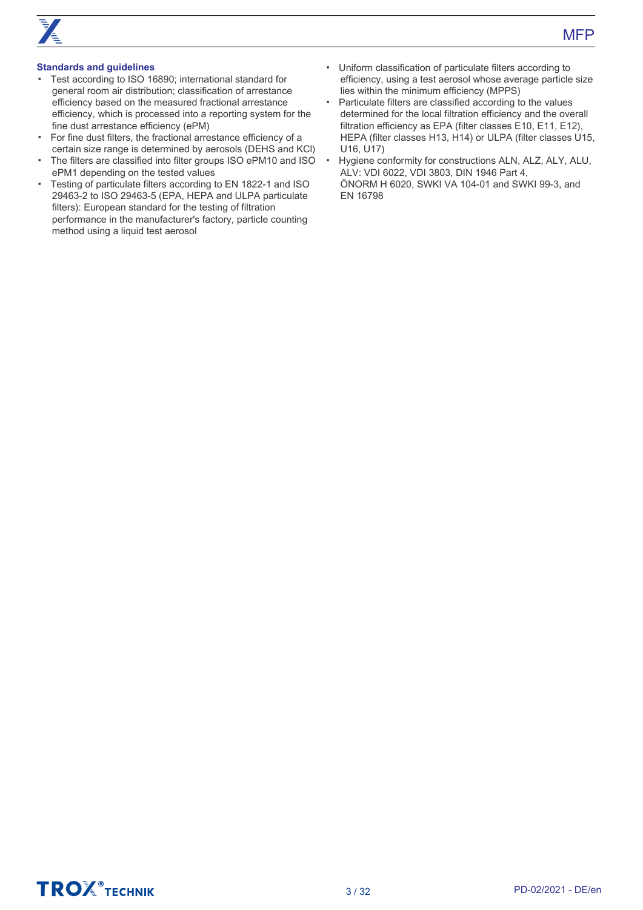# **Standards and guidelines**

- Test according to ISO 16890; international standard for general room air distribution; classification of arrestance efficiency based on the measured fractional arrestance efficiency, which is processed into a reporting system for the fine dust arrestance efficiency (ePM)
- For fine dust filters, the fractional arrestance efficiency of a certain size range is determined by aerosols (DEHS and KCl)
- The filters are classified into filter groups ISO ePM10 and ISO ePM1 depending on the tested values
- Testing of particulate filters according to EN 1822-1 and ISO 29463-2 to ISO 29463-5 (EPA, HEPA and ULPA particulate filters): European standard for the testing of filtration performance in the manufacturer's factory, particle counting method using a liquid test aerosol
- Uniform classification of particulate filters according to efficiency, using a test aerosol whose average particle size lies within the minimum efficiency (MPPS)
- Particulate filters are classified according to the values determined for the local filtration efficiency and the overall filtration efficiency as EPA (filter classes E10, E11, E12), HEPA (filter classes H13, H14) or ULPA (filter classes U15, U16, U17)
- Hygiene conformity for constructions ALN, ALZ, ALY, ALU, ALV: VDI 6022, VDI 3803, DIN 1946 Part 4, ÖNORM H 6020, SWKI VA 104-01 and SWKI 99-3, and EN 16798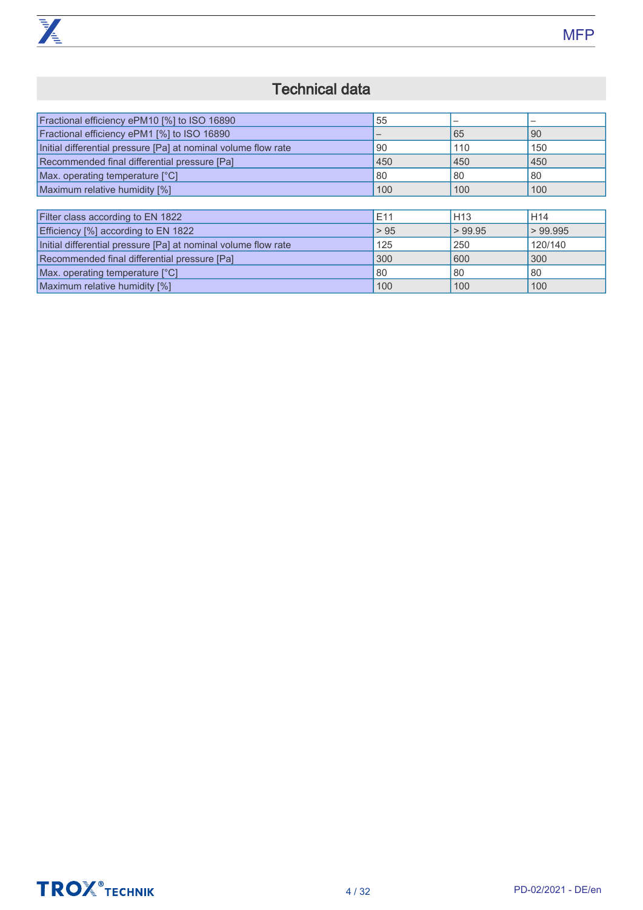

# Technical data

<span id="page-3-0"></span>

| Fractional efficiency ePM10 [%] to ISO 16890                   | 55   |                 | —               |
|----------------------------------------------------------------|------|-----------------|-----------------|
| Fractional efficiency ePM1 [%] to ISO 16890                    |      | 65              | 90              |
| Initial differential pressure [Pa] at nominal volume flow rate | 90   | 110             | 150             |
| Recommended final differential pressure [Pa]                   | 450  | 450             | 450             |
| Max. operating temperature [°C]                                | 80   | 80              | 80              |
| Maximum relative humidity [%]                                  | 100  | 100             | 100             |
|                                                                |      |                 |                 |
| Filter class according to EN 1822                              | E11  | H <sub>13</sub> | H <sub>14</sub> |
| Efficiency [%] according to EN 1822                            | > 95 | > 99.95         | >99.995         |
| Initial differential pressure [Pa] at nominal volume flow rate | 125  | 250             | 120/140         |
| Recommended final differential pressure [Pa]                   | 300  | 600             | 300             |
| Max. operating temperature [°C]                                | 80   | 80              | 80              |
| Maximum relative humidity [%]                                  | 100  | 100             | 100             |

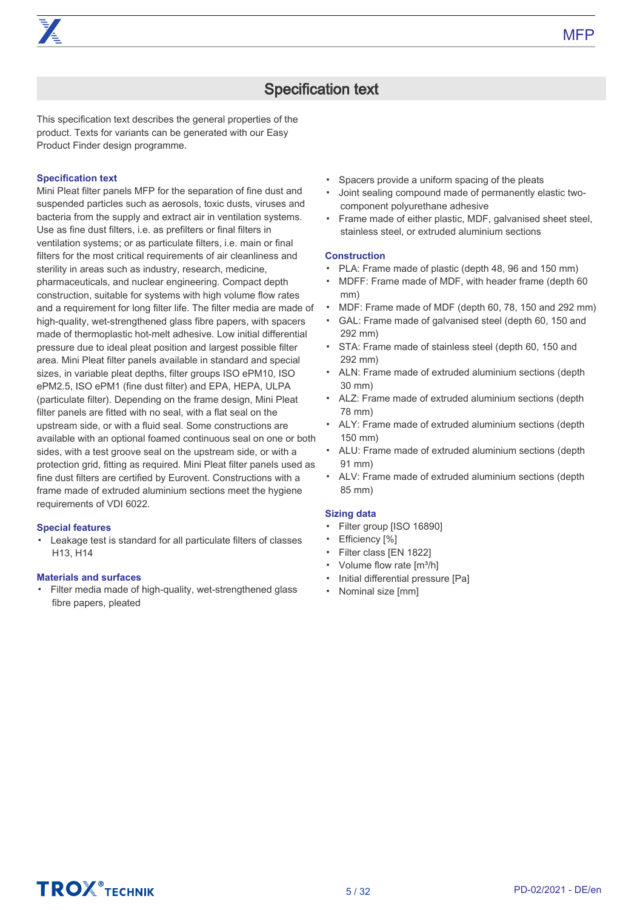

# Specification text

<span id="page-4-0"></span>This specification text describes the general properties of the product. Texts for variants can be generated with our Easy Product Finder design programme.

### **Specification text**

Mini Pleat filter panels MFP for the separation of fine dust and suspended particles such as aerosols, toxic dusts, viruses and bacteria from the supply and extract air in ventilation systems. Use as fine dust filters, i.e. as prefilters or final filters in ventilation systems; or as particulate filters, i.e. main or final filters for the most critical requirements of air cleanliness and sterility in areas such as industry, research, medicine, pharmaceuticals, and nuclear engineering. Compact depth construction, suitable for systems with high volume flow rates and a requirement for long filter life. The filter media are made of high-quality, wet-strengthened glass fibre papers, with spacers made of thermoplastic hot-melt adhesive. Low initial differential pressure due to ideal pleat position and largest possible filter area. Mini Pleat filter panels available in standard and special sizes, in variable pleat depths, filter groups ISO ePM10, ISO ePM2.5, ISO ePM1 (fine dust filter) and EPA, HEPA, ULPA (particulate filter). Depending on the frame design, Mini Pleat filter panels are fitted with no seal, with a flat seal on the upstream side, or with a fluid seal. Some constructions are available with an optional foamed continuous seal on one or both sides, with a test groove seal on the upstream side, or with a protection grid, fitting as required. Mini Pleat filter panels used as fine dust filters are certified by Eurovent. Constructions with a frame made of extruded aluminium sections meet the hygiene requirements of VDI 6022.

### **Special features**

▪ Leakage test is standard for all particulate filters of classes H13, H14

### **Materials and surfaces**

▪ Filter media made of high-quality, wet-strengthened glass fibre papers, pleated

- Spacers provide a uniform spacing of the pleats
- Joint sealing compound made of permanently elastic twocomponent polyurethane adhesive
- Frame made of either plastic, MDF, galvanised sheet steel, stainless steel, or extruded aluminium sections

# **Construction**

- PLA: Frame made of plastic (depth 48, 96 and 150 mm)
- MDFF: Frame made of MDF, with header frame (depth 60 mm)
- MDF: Frame made of MDF (depth 60, 78, 150 and 292 mm)
- GAL: Frame made of galvanised steel (depth 60, 150 and 292 mm)
- STA: Frame made of stainless steel (depth 60, 150 and 292 mm)
- ALN: Frame made of extruded aluminium sections (depth 30 mm)
- ALZ: Frame made of extruded aluminium sections (depth 78 mm)
- ALY: Frame made of extruded aluminium sections (depth 150 mm)
- ALU: Frame made of extruded aluminium sections (depth 91 mm)
- ALV: Frame made of extruded aluminium sections (depth 85 mm)

#### **Sizing data**

- Filter group [ISO 16890]
- Efficiency [%]
- Filter class [EN 1822]
- Volume flow rate [m<sup>3</sup>/h]
- Initial differential pressure [Pa]
- Nominal size [mm]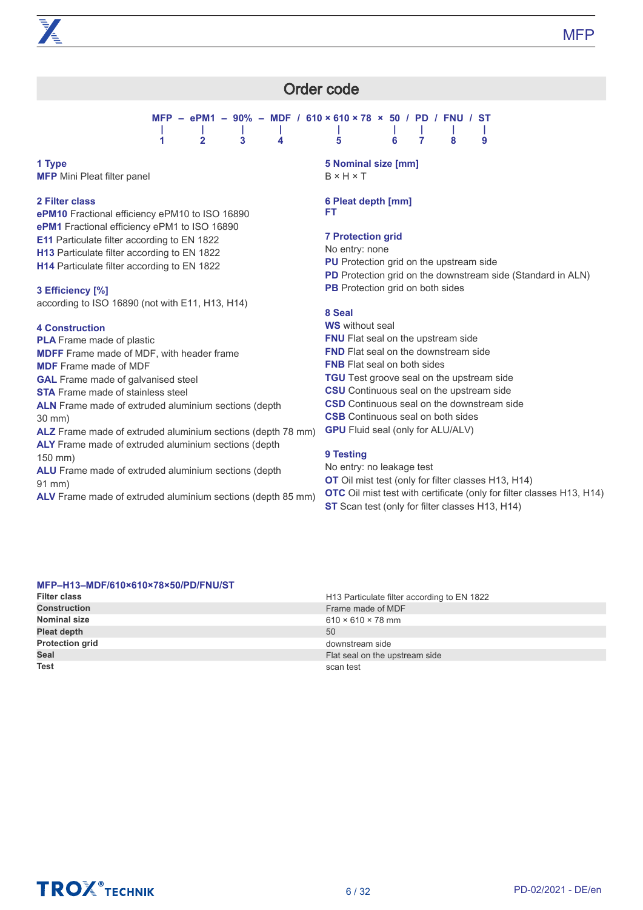# Order code

**MFP – ePM1 – 90% – MDF / 610 × 610 × 78 × 50 / PD / FNU / ST | | | | | | | | | 1 2 3 4 5 6 7 8 9**

#### <span id="page-5-0"></span>**1 Type MFP** Mini Pleat filter panel

**2 Filter class**

**ePM10** Fractional efficiency ePM10 to ISO 16890 **ePM1** Fractional efficiency ePM1 to ISO 16890 **E11** Particulate filter according to EN 1822 **H13** Particulate filter according to EN 1822 **H14** Particulate filter according to EN 1822

# **3 Efficiency [%]**

according to ISO 16890 (not with E11, H13, H14)

# **4 Construction**

**PLA** Frame made of plastic **MDFF** Frame made of MDF, with header frame **MDF** Frame made of MDF **GAL** Frame made of galvanised steel **STA** Frame made of stainless steel **ALN** Frame made of extruded aluminium sections (depth 30 mm)

**ALZ** Frame made of extruded aluminium sections (depth 78 mm) **ALY** Frame made of extruded aluminium sections (depth 150 mm)

**ALU** Frame made of extruded aluminium sections (depth 91 mm)

**ALV** Frame made of extruded aluminium sections (depth 85 mm)

# **5 Nominal size [mm]** B × H × T

### **6 Pleat depth [mm] FT**

# **7 Protection grid**

No entry: none

- **PU** Protection grid on the upstream side
- **PD** Protection grid on the downstream side (Standard in ALN)
- **PB** Protection grid on both sides

# **8 Seal**

**WS** without seal **FNU** Flat seal on the upstream side **FND** Flat seal on the downstream side **FNB** Flat seal on both sides **TGU** Test groove seal on the upstream side **CSU** Continuous seal on the upstream side **CSD** Continuous seal on the downstream side **CSB** Continuous seal on both sides **GPU** Fluid seal (only for ALU/ALV)

# **9 Testing**

No entry: no leakage test **OT** Oil mist test (only for filter classes H13, H14) **OTC** Oil mist test with certificate (only for filter classes H13, H14) **ST** Scan test (only for filter classes H13, H14)

# **MFP–H13–MDF/610×610×78×50/PD/FNU/ST**

| <b>Filter class</b>    | H <sub>13</sub> Particulate filter according to EN 1822 |
|------------------------|---------------------------------------------------------|
| <b>Construction</b>    | Frame made of MDF                                       |
| <b>Nominal size</b>    | $610 \times 610 \times 78$ mm                           |
| Pleat depth            | 50                                                      |
| <b>Protection grid</b> | downstream side                                         |
| Seal                   | Flat seal on the upstream side                          |
| <b>Test</b>            | scan test                                               |

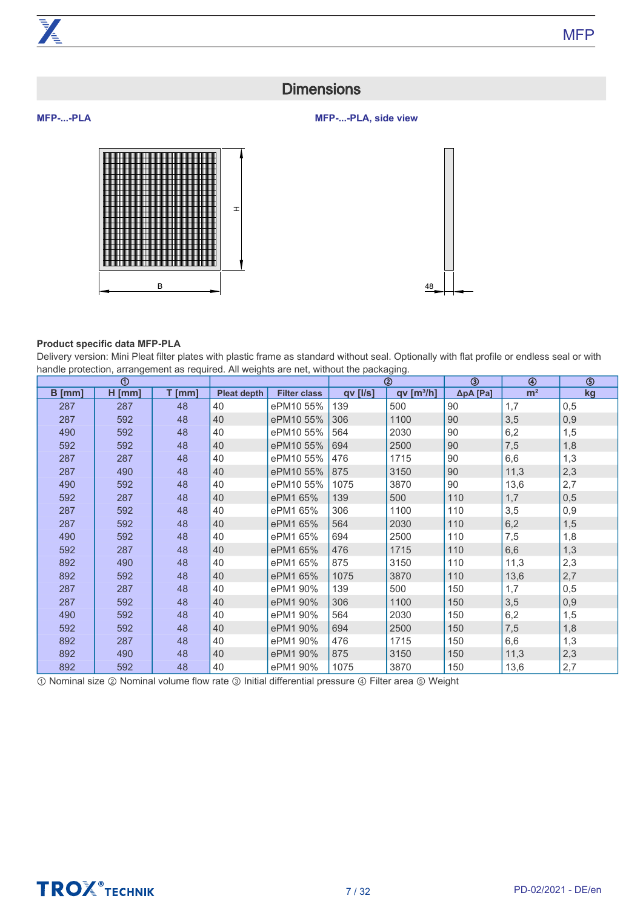# **Dimensions**

# **MFP-...-PLA, side view**





# **Product specific data MFP-PLA**

<span id="page-6-0"></span>**MFP-...-PLA**

Delivery version: Mini Pleat filter plates with plastic frame as standard without seal. Optionally with flat profile or endless seal or with handle protection, arrangement as required. All weights are net, without the packaging.

|        | $^{\circ}$ |          |                    |                     |          | ➁                    |                   | ⊕              | ಄   |
|--------|------------|----------|--------------------|---------------------|----------|----------------------|-------------------|----------------|-----|
| B [mm] | $H$ [mm]   | $T$ [mm] | <b>Pleat depth</b> | <b>Filter class</b> | qv [l/s] | qv[ <sup>3</sup> /h] | $\Delta p$ A [Pa] | m <sup>2</sup> | kg  |
| 287    | 287        | 48       | 40                 | ePM10 55%           | 139      | 500                  | 90                | 1,7            | 0,5 |
| 287    | 592        | 48       | 40                 | ePM10 55%           | 306      | 1100                 | 90                | 3,5            | 0,9 |
| 490    | 592        | 48       | 40                 | ePM10 55%           | 564      | 2030                 | 90                | 6,2            | 1,5 |
| 592    | 592        | 48       | 40                 | ePM10 55%           | 694      | 2500                 | 90                | 7,5            | 1,8 |
| 287    | 287        | 48       | 40                 | ePM10 55%           | 476      | 1715                 | 90                | 6,6            | 1,3 |
| 287    | 490        | 48       | 40                 | ePM10 55%           | 875      | 3150                 | 90                | 11,3           | 2,3 |
| 490    | 592        | 48       | 40                 | ePM10 55%           | 1075     | 3870                 | 90                | 13,6           | 2,7 |
| 592    | 287        | 48       | 40                 | ePM1 65%            | 139      | 500                  | 110               | 1,7            | 0,5 |
| 287    | 592        | 48       | 40                 | ePM1 65%            | 306      | 1100                 | 110               | 3,5            | 0,9 |
| 287    | 592        | 48       | 40                 | ePM1 65%            | 564      | 2030                 | 110               | 6,2            | 1,5 |
| 490    | 592        | 48       | 40                 | ePM1 65%            | 694      | 2500                 | 110               | 7,5            | 1,8 |
| 592    | 287        | 48       | 40                 | ePM1 65%            | 476      | 1715                 | 110               | 6,6            | 1,3 |
| 892    | 490        | 48       | 40                 | ePM1 65%            | 875      | 3150                 | 110               | 11,3           | 2,3 |
| 892    | 592        | 48       | 40                 | ePM1 65%            | 1075     | 3870                 | 110               | 13,6           | 2,7 |
| 287    | 287        | 48       | 40                 | ePM1 90%            | 139      | 500                  | 150               | 1,7            | 0,5 |
| 287    | 592        | 48       | 40                 | ePM1 90%            | 306      | 1100                 | 150               | 3,5            | 0,9 |
| 490    | 592        | 48       | 40                 | ePM1 90%            | 564      | 2030                 | 150               | 6,2            | 1,5 |
| 592    | 592        | 48       | 40                 | ePM1 90%            | 694      | 2500                 | 150               | 7,5            | 1,8 |
| 892    | 287        | 48       | 40                 | ePM1 90%            | 476      | 1715                 | 150               | 6,6            | 1,3 |
| 892    | 490        | 48       | 40                 | ePM1 90%            | 875      | 3150                 | 150               | 11,3           | 2,3 |
| 892    | 592        | 48       | 40                 | ePM1 90%            | 1075     | 3870                 | 150               | 13,6           | 2,7 |

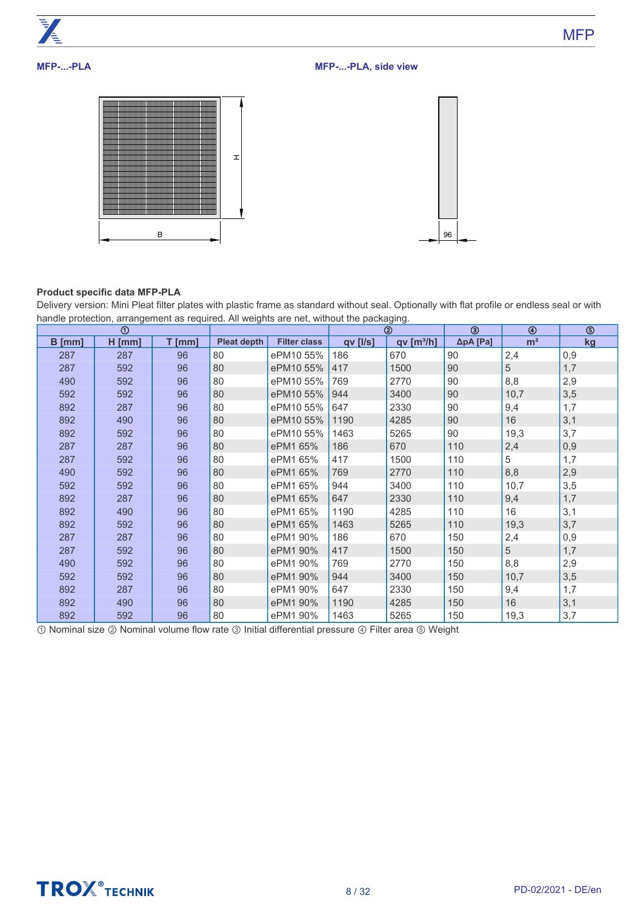

**MFP** 

# **MFP-...-PLA**

**MFP-...-PLA, side view**





# **Product specific data MFP-PLA**

Delivery version: Mini Pleat filter plates with plastic frame as standard without seal. Optionally with flat profile or endless seal or with handle protection, arrangement as required. All weights are net, without the packaging.

|          | $^{\circ}$ |          |                    |                     |                | ②                    |          | ⊕              | $\circledS$ |
|----------|------------|----------|--------------------|---------------------|----------------|----------------------|----------|----------------|-------------|
| $B$ [mm] | $H$ [mm]   | $T$ [mm] | <b>Pleat depth</b> | <b>Filter class</b> | $qv$ [ $I/s$ ] | qv[ <sup>3</sup> /h] | ΔpA [Pa] | m <sup>2</sup> | kg          |
| 287      | 287        | 96       | 80                 | ePM10 55%           | 186            | 670                  | 90       | 2,4            | 0,9         |
| 287      | 592        | 96       | 80                 | ePM10 55%           | 417            | 1500                 | 90       | 5              | 1,7         |
| 490      | 592        | 96       | 80                 | ePM10 55%           | 769            | 2770                 | 90       | 8,8            | 2,9         |
| 592      | 592        | 96       | 80                 | ePM10 55%           | 944            | 3400                 | 90       | 10,7           | 3,5         |
| 892      | 287        | 96       | 80                 | ePM10 55%           | 647            | 2330                 | 90       | 9,4            | 1,7         |
| 892      | 490        | 96       | 80                 | ePM10 55%           | 1190           | 4285                 | 90       | 16             | 3,1         |
| 892      | 592        | 96       | 80                 | ePM10 55%           | 1463           | 5265                 | 90       | 19,3           | 3,7         |
| 287      | 287        | 96       | 80                 | ePM1 65%            | 186            | 670                  | 110      | 2,4            | 0,9         |
| 287      | 592        | 96       | 80                 | ePM1 65%            | 417            | 1500                 | 110      | 5              | 1,7         |
| 490      | 592        | 96       | 80                 | ePM1 65%            | 769            | 2770                 | 110      | 8,8            | 2,9         |
| 592      | 592        | 96       | 80                 | ePM1 65%            | 944            | 3400                 | 110      | 10,7           | 3,5         |
| 892      | 287        | 96       | 80                 | ePM1 65%            | 647            | 2330                 | 110      | 9,4            | 1,7         |
| 892      | 490        | 96       | 80                 | ePM1 65%            | 1190           | 4285                 | 110      | 16             | 3,1         |
| 892      | 592        | 96       | 80                 | ePM1 65%            | 1463           | 5265                 | 110      | 19,3           | 3,7         |
| 287      | 287        | 96       | 80                 | ePM1 90%            | 186            | 670                  | 150      | 2,4            | 0,9         |
| 287      | 592        | 96       | 80                 | ePM1 90%            | 417            | 1500                 | 150      | 5              | 1,7         |
| 490      | 592        | 96       | 80                 | ePM1 90%            | 769            | 2770                 | 150      | 8,8            | 2,9         |
| 592      | 592        | 96       | 80                 | ePM1 90%            | 944            | 3400                 | 150      | 10,7           | 3,5         |
| 892      | 287        | 96       | 80                 | ePM1 90%            | 647            | 2330                 | 150      | 9,4            | 1,7         |
| 892      | 490        | 96       | 80                 | ePM1 90%            | 1190           | 4285                 | 150      | 16             | 3,1         |
| 892      | 592        | 96       | 80                 | ePM1 90%            | 1463           | 5265                 | 150      | 19,3           | 3,7         |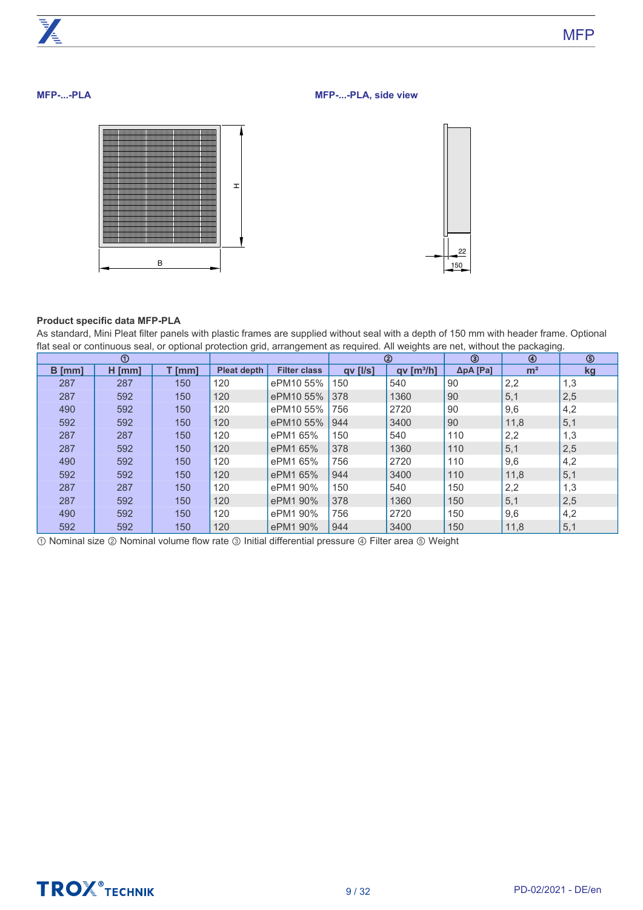# **MFP-...-PLA**

**MFP-...-PLA, side view**



# **Product specific data MFP-PLA**

As standard, Mini Pleat filter panels with plastic frames are supplied without seal with a depth of 150 mm with header frame. Optional flat seal or continuous seal, or optional protection grid, arrangement as required. All weights are net, without the packaging.

|        | $^{\circ}$ |        |                    |                     | ➁        |                        | ③        | ⊕              | ᠖   |
|--------|------------|--------|--------------------|---------------------|----------|------------------------|----------|----------------|-----|
| B [mm] | $H$ [mm]   | T [mm] | <b>Pleat depth</b> | <b>Filter class</b> | qv [l/s] | qv [m <sup>3</sup> /h] | ΔpA [Pa] | m <sup>2</sup> | kg  |
| 287    | 287        | 150    | 120                | ePM10 55%           | 150      | 540                    | 90       | 2,2            | 1,3 |
| 287    | 592        | 150    | 120                | ePM10 55%           | 378      | 1360                   | 90       | 5,1            | 2,5 |
| 490    | 592        | 150    | 120                | ePM10 55%           | 756      | 2720                   | 90       | 9,6            | 4,2 |
| 592    | 592        | 150    | 120                | ePM10 55%           | 944      | 3400                   | 90       | 11,8           | 5,1 |
| 287    | 287        | 150    | 120                | ePM1 65%            | 150      | 540                    | 110      | 2,2            | 1,3 |
| 287    | 592        | 150    | 120                | ePM1 65%            | 378      | 1360                   | 110      | 5,1            | 2,5 |
| 490    | 592        | 150    | 120                | ePM1 65%            | 756      | 2720                   | 110      | 9,6            | 4,2 |
| 592    | 592        | 150    | 120                | ePM1 65%            | 944      | 3400                   | 110      | 11,8           | 5,1 |
| 287    | 287        | 150    | 120                | ePM1 90%            | 150      | 540                    | 150      | 2,2            | 1,3 |
| 287    | 592        | 150    | 120                | ePM1 90%            | 378      | 1360                   | 150      | 5,1            | 2,5 |
| 490    | 592        | 150    | 120                | ePM1 90%            | 756      | 2720                   | 150      | 9,6            | 4,2 |
| 592    | 592        | 150    | 120                | ePM1 90%            | 944      | 3400                   | 150      | 11,8           | 5,1 |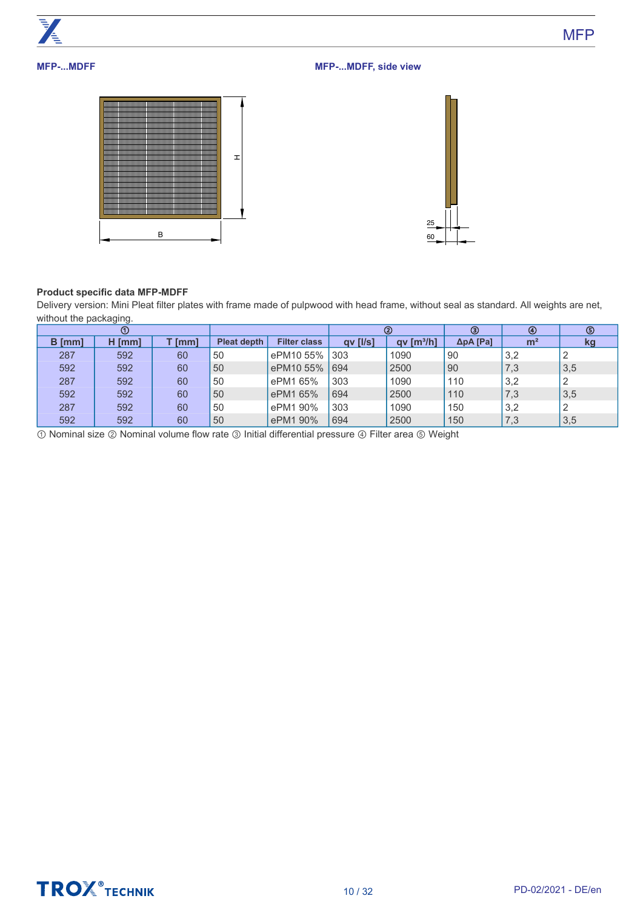

# **Product specific data MFP-MDFF**

B

Delivery version: Mini Pleat filter plates with frame made of pulpwood with head frame, without seal as standard. All weights are net, without the packaging.

60

|               | ൱         |          |                    |                     | ②        |                  | ③                 | $^{\circledR}$ | ⑤   |
|---------------|-----------|----------|--------------------|---------------------|----------|------------------|-------------------|----------------|-----|
| <b>B</b> [mm] | н<br>[mm] | $T$ [mm] | <b>Pleat depth</b> | <b>Filter class</b> | qv [l/s] | $qv$ [ $m^3/h$ ] | $\Delta p$ A [Pa] | m <sup>2</sup> | kg  |
| 287           | 592       | 60       | 50                 | ePM10 55%           | 303      | 1090             | 90                | 3,2            |     |
| 592           | 592       | 60       | 50                 | ePM10 55%           | 694      | 2500             | 90                | 7,3            | 3,5 |
| 287           | 592       | 60       | 50                 | ePM1 65%            | 303      | 1090             | 110               | 3,2            |     |
| 592           | 592       | 60       | 50                 | ePM1 65%            | 694      | 2500             | 110               | 7,3            | 3,5 |
| 287           | 592       | 60       | 50                 | ePM1 90%            | 303      | 1090             | 150               | 3,2            |     |
| 592           | 592       | 60       | 50                 | ePM1 90%            | 694      | 2500             | 150               | 7,3            | 3,5 |

① Nominal size ② Nominal volume flow rate ③ Initial differential pressure ④ Filter area ⑤ Weight



**MFP**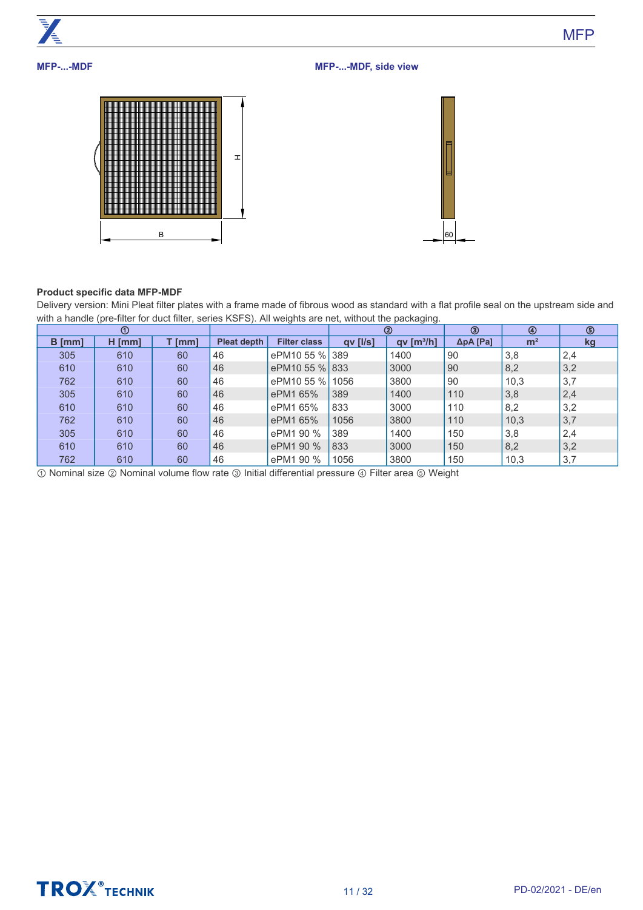

# **Product specific data MFP-MDF**

Delivery version: Mini Pleat filter plates with a frame made of fibrous wood as standard with a flat profile seal on the upstream side and with a handle (pre-filter for duct filter, series KSFS). All weights are net, without the packaging.

|          | $^{\circ}$ |        |                    |                     |                | ②                      | ⊛                 | $\circledast$  | ⑤   |
|----------|------------|--------|--------------------|---------------------|----------------|------------------------|-------------------|----------------|-----|
| $B$ [mm] | $H$ [mm]   | T [mm] | <b>Pleat depth</b> | <b>Filter class</b> | $qv$ [ $I/s$ ] | qv [m <sup>3</sup> /h] | $\Delta p$ A [Pa] | m <sup>2</sup> | kg  |
| 305      | 610        | 60     | 46                 | ePM10 55 % 389      |                | 1400                   | 90                | 3,8            | 2,4 |
| 610      | 610        | 60     | 46                 | ePM10 55 % 833      |                | 3000                   | 90                | 8,2            | 3,2 |
| 762      | 610        | 60     | 46                 | ePM10 55 % 1056     |                | 3800                   | 90                | 10,3           | 3,7 |
| 305      | 610        | 60     | 46                 | ePM1 65%            | 389            | 1400                   | 110               | 3,8            | 2,4 |
| 610      | 610        | 60     | 46                 | ePM1 65%            | 833            | 3000                   | 110               | 8,2            | 3,2 |
| 762      | 610        | 60     | 46                 | ePM1 65%            | 1056           | 3800                   | 110               | 10,3           | 3,7 |
| 305      | 610        | 60     | 46                 | ePM1 90 %           | 389            | 1400                   | 150               | 3,8            | 2,4 |
| 610      | 610        | 60     | 46                 | ePM1 90 %           | 833            | 3000                   | 150               | 8,2            | 3,2 |
| 762      | 610        | 60     | 46                 | ePM1 90 %           | 1056           | 3800                   | 150               | 10,3           | 3,7 |

① Nominal size ② Nominal volume flow rate ③ Initial differential pressure ④ Filter area ⑤ Weight



**MFP**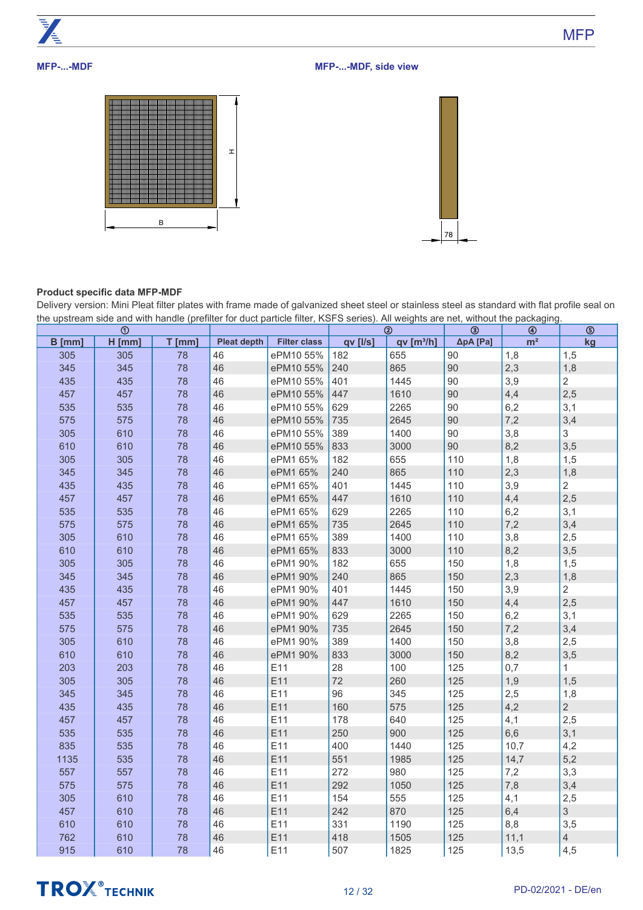

# **MFP-...-MDF**

**MFP-...-MDF, side view**





# **Product specific data MFP-MDF**

Delivery version: Mini Pleat filter plates with frame made of galvanized sheet steel or stainless steel as standard with flat profile seal on the upstream side and with handle (prefilter for duct particle filter, KSFS series). All weights are net, without the packaging.

|          | $\odot$  |          |                    |                     |          | $^{\circledR}$       | $\circledcirc$ | $\circledast$  | $\circledS$    |
|----------|----------|----------|--------------------|---------------------|----------|----------------------|----------------|----------------|----------------|
| $B$ [mm] | $H$ [mm] | $T$ [mm] | <b>Pleat depth</b> | <b>Filter class</b> | qv [l/s] | qv[ <sup>3</sup> /h] | ΔpA [Pa]       | m <sup>2</sup> | kg             |
| 305      | 305      | 78       | 46                 | ePM10 55%           | 182      | 655                  | 90             | 1,8            | 1,5            |
| 345      | 345      | 78       | 46                 | ePM10 55%           | 240      | 865                  | 90             | 2,3            | 1,8            |
| 435      | 435      | 78       | 46                 | ePM10 55%           | 401      | 1445                 | 90             | 3,9            | $\overline{2}$ |
| 457      | 457      | 78       | 46                 | ePM10 55%           | 447      | 1610                 | 90             | 4,4            | 2,5            |
| 535      | 535      | 78       | 46                 | ePM10 55%           | 629      | 2265                 | 90             | 6,2            | 3,1            |
| 575      | 575      | 78       | 46                 | ePM10 55%           | 735      | 2645                 | 90             | 7,2            | 3,4            |
| 305      | 610      | 78       | 46                 | ePM10 55%           | 389      | 1400                 | 90             | 3,8            | 3              |
| 610      | 610      | 78       | 46                 | ePM10 55%           | 833      | 3000                 | 90             | 8,2            | 3,5            |
| 305      | 305      | 78       | 46                 | ePM1 65%            | 182      | 655                  | 110            | 1,8            | 1,5            |
| 345      | 345      | 78       | 46                 | ePM1 65%            | 240      | 865                  | 110            | 2,3            | 1,8            |
| 435      | 435      | 78       | 46                 | ePM1 65%            | 401      | 1445                 | 110            | 3,9            | $\overline{2}$ |
| 457      | 457      | 78       | 46                 | ePM1 65%            | 447      | 1610                 | 110            | 4,4            | 2,5            |
| 535      | 535      | 78       | 46                 | ePM1 65%            | 629      | 2265                 | 110            | 6,2            | 3,1            |
| 575      | 575      | 78       | 46                 | ePM1 65%            | 735      | 2645                 | 110            | 7,2            | 3,4            |
| 305      | 610      | 78       | 46                 | ePM1 65%            | 389      | 1400                 | 110            | 3,8            | 2,5            |
| 610      | 610      | 78       | 46                 | ePM1 65%            | 833      | 3000                 | 110            | 8,2            | 3,5            |
| 305      | 305      | 78       | 46                 | ePM1 90%            | 182      | 655                  | 150            | 1,8            | 1,5            |
| 345      | 345      | 78       | 46                 | ePM1 90%            | 240      | 865                  | 150            | 2,3            | 1,8            |
| 435      | 435      | 78       | 46                 | ePM1 90%            | 401      | 1445                 | 150            | 3,9            | $\overline{2}$ |
| 457      | 457      | 78       | 46                 | ePM1 90%            | 447      | 1610                 | 150            | 4,4            | 2,5            |
| 535      | 535      | 78       | 46                 | ePM1 90%            | 629      | 2265                 | 150            | 6,2            | 3,1            |
| 575      | 575      | 78       | 46                 | ePM1 90%            | 735      | 2645                 | 150            | 7,2            | 3,4            |
| 305      | 610      | 78       | 46                 | ePM1 90%            | 389      | 1400                 | 150            | 3,8            | 2,5            |
| 610      | 610      | 78       | 46                 | ePM1 90%            | 833      | 3000                 | 150            | 8,2            | 3,5            |
| 203      | 203      | 78       | 46                 | E11                 | 28       | 100                  | 125            | 0,7            | $\mathbf{1}$   |
| 305      | 305      | 78       | 46                 | E11                 | 72       | 260                  | 125            | 1,9            | 1,5            |
| 345      | 345      | 78       | 46                 | E11                 | 96       | 345                  | 125            | 2,5            | 1,8            |
| 435      | 435      | 78       | 46                 | E11                 | 160      | 575                  | 125            | 4,2            | $\overline{2}$ |
| 457      | 457      | 78       | 46                 | E11                 | 178      | 640                  | 125            | 4,1            | 2,5            |
| 535      | 535      | 78       | 46                 | E11                 | 250      | 900                  | 125            | 6,6            | 3,1            |
| 835      | 535      | 78       | 46                 | E11                 | 400      | 1440                 | 125            | 10,7           | 4,2            |
| 1135     | 535      | 78       | 46                 | E11                 | 551      | 1985                 | 125            | 14,7           | 5,2            |
| 557      | 557      | 78       | 46                 | E11                 | 272      | 980                  | 125            | 7,2            | 3,3            |
| 575      | 575      | 78       | 46                 | E11                 | 292      | 1050                 | 125            | 7,8            | 3,4            |
| 305      | 610      | 78       | 46                 | E11                 | 154      | 555                  | 125            | 4,1            | 2,5            |
| 457      | 610      | 78       | 46                 | E11                 | 242      | 870                  | 125            | 6,4            | $\mathfrak{S}$ |
| 610      | 610      | 78       | 46                 | E11                 | 331      | 1190                 | 125            | 8,8            | 3,5            |
| 762      | 610      | 78       | 46                 | E11                 | 418      | 1505                 | 125            | 11,1           | $\overline{4}$ |
| 915      | 610      | 78       | 46                 | E11                 | 507      | 1825                 | 125            | 13,5           | 4,5            |

# **TROX** TECHNIK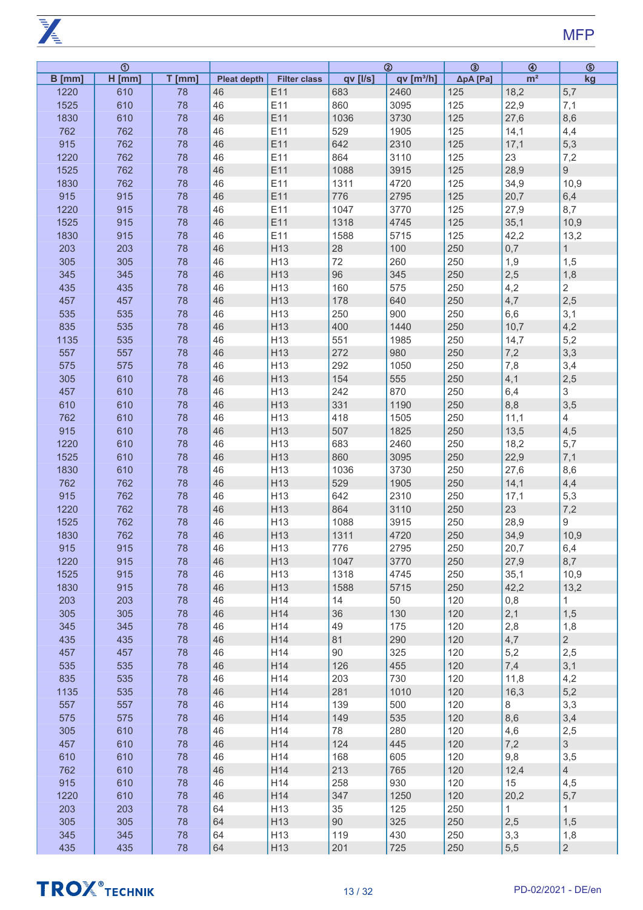**PARTIES** 

|          | $\overline{\odot}$ |          |                    |                     |          | $\overline{a}$        | $\overline{\circledcirc}$ | $\circledast$  | $\circledS$     |
|----------|--------------------|----------|--------------------|---------------------|----------|-----------------------|---------------------------|----------------|-----------------|
| $B$ [mm] | $H$ [mm]           | $T$ [mm] | <b>Pleat depth</b> | <b>Filter class</b> | qv [l/s] | qv[m <sup>3</sup> /h] | ΔpA [Pa]                  | m <sup>2</sup> | kg              |
| 1220     | 610                | 78       | 46                 | E11                 | 683      | 2460                  | 125                       | 18,2           | 5,7             |
| 1525     | 610                | 78       | 46                 | E11                 | 860      | 3095                  | 125                       | 22,9           | 7,1             |
| 1830     | 610                | 78       | 46                 | E11                 | 1036     | 3730                  | 125                       | 27,6           | 8,6             |
| 762      | 762                | 78       | 46                 | E11                 | 529      | 1905                  | 125                       | 14,1           | 4,4             |
| 915      | 762                | 78       | 46                 | E11                 | 642      | 2310                  | 125                       | 17,1           | 5,3             |
|          |                    |          |                    |                     |          |                       |                           |                |                 |
| 1220     | 762                | 78       | 46                 | E11                 | 864      | 3110                  | 125                       | 23             | 7,2             |
| 1525     | 762                | 78       | 46                 | E11                 | 1088     | 3915                  | 125                       | 28,9           | $9\phantom{.0}$ |
| 1830     | 762                | 78       | 46                 | E11                 | 1311     | 4720                  | 125                       | 34,9           | 10,9            |
| 915      | 915                | 78       | 46                 | E11                 | 776      | 2795                  | 125                       | 20,7           | 6,4             |
| 1220     | 915                | 78       | 46                 | E11                 | 1047     | 3770                  | 125                       | 27,9           | 8,7             |
| 1525     | 915                | 78       | 46                 | E11                 | 1318     | 4745                  | 125                       | 35,1           | 10,9            |
| 1830     | 915                | 78       | 46                 | E11                 | 1588     | 5715                  | 125                       | 42,2           | 13,2            |
| 203      | 203                | 78       | 46                 | H13                 | 28       | 100                   | 250                       | 0,7            | 1               |
| 305      | 305                | 78       | 46                 | H13                 | 72       | 260                   | 250                       | 1,9            | 1,5             |
| 345      | 345                | 78       | 46                 | H13                 | 96       | 345                   | 250                       | 2,5            | 1,8             |
| 435      | 435                | 78       | 46                 | H13                 | 160      | 575                   | 250                       | 4,2            | $\overline{2}$  |
| 457      | 457                | 78       | 46                 | H13                 | 178      | 640                   | 250                       | 4,7            | 2,5             |
|          |                    |          |                    |                     |          |                       |                           |                |                 |
| 535      | 535                | 78       | 46                 | H13                 | 250      | 900                   | 250                       | 6,6            | 3,1             |
| 835      | 535                | 78       | 46                 | H13                 | 400      | 1440                  | 250                       | 10,7           | 4,2             |
| 1135     | 535                | 78       | 46                 | H13                 | 551      | 1985                  | 250                       | 14,7           | 5,2             |
| 557      | 557                | 78       | 46                 | H13                 | 272      | 980                   | 250                       | 7,2            | 3,3             |
| 575      | 575                | 78       | 46                 | H13                 | 292      | 1050                  | 250                       | 7,8            | 3,4             |
| 305      | 610                | 78       | 46                 | H13                 | 154      | 555                   | 250                       | 4,1            | 2,5             |
| 457      | 610                | 78       | 46                 | H13                 | 242      | 870                   | 250                       | 6,4            | $\mathfrak{S}$  |
| 610      | 610                | 78       | 46                 | H13                 | 331      | 1190                  | 250                       | 8,8            | 3,5             |
| 762      | 610                | 78       | 46                 | H13                 | 418      | 1505                  | 250                       | 11,1           | $\overline{4}$  |
| 915      | 610                | 78       | 46                 | H13                 | 507      | 1825                  | 250                       | 13,5           | 4,5             |
| 1220     | 610                | 78       | 46                 | H13                 | 683      | 2460                  | 250                       | 18,2           | 5,7             |
| 1525     | 610                | 78       | 46                 | H13                 | 860      | 3095                  | 250                       | 22,9           | 7,1             |
|          |                    |          | 46                 | H13                 |          |                       |                           |                |                 |
| 1830     | 610                | 78       |                    |                     | 1036     | 3730                  | 250                       | 27,6           | 8,6             |
| 762      | 762                | 78       | 46                 | H13                 | 529      | 1905                  | 250                       | 14,1           | 4,4             |
| 915      | 762                | 78       | 46                 | H13                 | 642      | 2310                  | 250                       | 17,1           | 5,3             |
| 1220     | 762                | 78       | 46                 | H13                 | 864      | 3110                  | 250                       | 23             | 7,2             |
| 1525     | 762                | 78       | 46                 | H13                 | 1088     | 3915                  | 250                       | 28,9           | 9               |
| 1830     | 762                | 78       | 46                 | H13                 | 1311     | 4720                  | 250                       | 34,9           | 10,9            |
| 915      | 915                | 78       | 46                 | H <sub>13</sub>     | 776      | 2795                  | 250                       | 20,7           | 6,4             |
| 1220     | 915                | 78       | 46                 | H13                 | 1047     | 3770                  | 250                       | 27,9           | 8,7             |
| 1525     | 915                | 78       | 46                 | H <sub>13</sub>     | 1318     | 4745                  | 250                       | 35,1           | 10,9            |
| 1830     | 915                | 78       | 46                 | H13                 | 1588     | 5715                  | 250                       | 42,2           | 13,2            |
| 203      | 203                | 78       | 46                 | H14                 | 14       | 50                    | 120                       | 0,8            | $\mathbf{1}$    |
| 305      | 305                | 78       | 46                 | H14                 | 36       | 130                   | 120                       | 2,1            | 1,5             |
| 345      | 345                | 78       | 46                 | H14                 | 49       | 175                   | 120                       | 2,8            | 1,8             |
| 435      | 435                | 78       | 46                 | H14                 | 81       | 290                   | 120                       | 4,7            | 2 <sup>7</sup>  |
| 457      | 457                | 78       | 46                 | H14                 | 90       | 325                   | 120                       | 5,2            | 2,5             |
| 535      | 535                | 78       | 46                 | H14                 | 126      | 455                   | 120                       | 7,4            |                 |
|          |                    |          |                    |                     |          |                       |                           |                | 3,1             |
| 835      | 535                | 78       | 46                 | H14                 | 203      | 730                   | 120                       | 11,8           | 4,2             |
| 1135     | 535                | 78       | 46                 | H14                 | 281      | 1010                  | 120                       | 16,3           | 5,2             |
| 557      | 557                | 78       | 46                 | H14                 | 139      | 500                   | 120                       | 8              | 3,3             |
| 575      | 575                | 78       | 46                 | H14                 | 149      | 535                   | 120                       | 8,6            | 3,4             |
| 305      | 610                | 78       | 46                 | H14                 | 78       | 280                   | 120                       | 4,6            | 2,5             |
| 457      | 610                | 78       | 46                 | H14                 | 124      | 445                   | 120                       | 7,2            | 3 <sup>1</sup>  |
| 610      | 610                | 78       | 46                 | H14                 | 168      | 605                   | 120                       | 9,8            | 3,5             |
| 762      | 610                | 78       | 46                 | H14                 | 213      | 765                   | 120                       | 12,4           | 4 <sup>1</sup>  |
| 915      | 610                | 78       | 46                 | H14                 | 258      | 930                   | 120                       | 15             | 4,5             |
| 1220     | 610                | 78       | 46                 | H14                 | 347      | 1250                  | 120                       | 20,2           | 5,7             |
| 203      | 203                | 78       | 64                 | H13                 | 35       | 125                   | 250                       | 1              | 1               |
| 305      | 305                | 78       | 64                 | H13                 | 90       | 325                   | 250                       | 2,5            | 1,5             |
| 345      | 345                | 78       | 64                 | H13                 | 119      | 430                   | 250                       | 3,3            |                 |
|          |                    |          |                    |                     |          |                       |                           |                | 1,8             |
| 435      | 435                | 78       | 64                 | H13                 | 201      | 725                   | 250                       | 5,5            | $\overline{2}$  |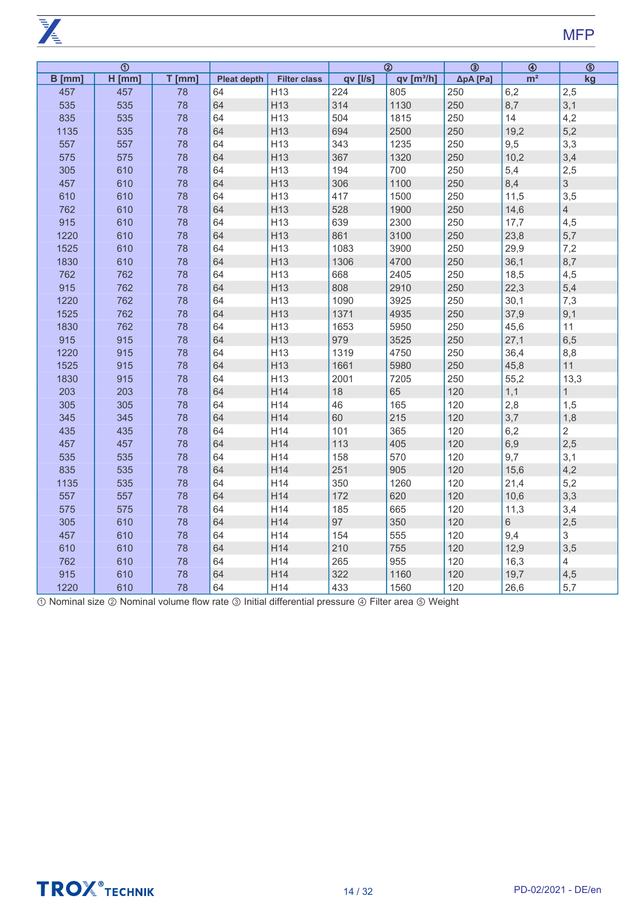$\overline{K}$ 

|          | $\overline{\odot}$ |          |                    |                     |          | $\overline{\circledcirc}$ | $\overline{\circledcirc}$ | $\overline{\circledast}$ | $\overline{\circledcirc}$ |
|----------|--------------------|----------|--------------------|---------------------|----------|---------------------------|---------------------------|--------------------------|---------------------------|
| $B$ [mm] | $H$ [mm]           | $T$ [mm] | <b>Pleat depth</b> | <b>Filter class</b> | qv [l/s] | qv [m <sup>3</sup> /h]    | ΔpA [Pa]                  | m <sup>2</sup>           | kg                        |
| 457      | 457                | 78       | 64                 | H <sub>13</sub>     | 224      | 805                       | 250                       | 6,2                      | 2,5                       |
| 535      | 535                | 78       | 64                 | H <sub>13</sub>     | 314      | 1130                      | 250                       | 8,7                      | 3,1                       |
| 835      | 535                | 78       | 64                 | H <sub>13</sub>     | 504      | 1815                      | 250                       | 14                       | 4,2                       |
| 1135     | 535                | 78       | 64                 | H13                 | 694      | 2500                      | 250                       | 19,2                     | 5,2                       |
| 557      | 557                | 78       | 64                 | H13                 | 343      | 1235                      | 250                       | 9,5                      | 3,3                       |
| 575      | 575                | 78       | 64                 | H13                 | 367      | 1320                      | 250                       | 10,2                     | 3,4                       |
| 305      | 610                | 78       | 64                 | H <sub>13</sub>     | 194      | 700                       | 250                       | 5,4                      | 2,5                       |
| 457      | 610                | 78       | 64                 | H13                 | 306      | 1100                      | 250                       | 8,4                      | 3                         |
| 610      | 610                | 78       | 64                 | H <sub>13</sub>     | 417      | 1500                      | 250                       | 11,5                     | 3,5                       |
| 762      | 610                | 78       | 64                 | H13                 | 528      | 1900                      | 250                       | 14,6                     | $\overline{4}$            |
| 915      | 610                | 78       | 64                 | H13                 | 639      | 2300                      | 250                       | 17,7                     | 4,5                       |
| 1220     | 610                | 78       | 64                 | H <sub>13</sub>     | 861      | 3100                      | 250                       | 23,8                     | 5,7                       |
| 1525     | 610                | 78       | 64                 | H13                 | 1083     | 3900                      | 250                       | 29,9                     | 7,2                       |
| 1830     | 610                | 78       | 64                 | H <sub>13</sub>     | 1306     | 4700                      | 250                       | 36,1                     | 8,7                       |
| 762      | 762                | 78       | 64                 | H13                 | 668      | 2405                      | 250                       | 18,5                     | 4,5                       |
| 915      | 762                | 78       | 64                 | H <sub>13</sub>     | 808      | 2910                      | 250                       | 22,3                     | 5,4                       |
| 1220     | 762                | 78       | 64                 | H <sub>13</sub>     | 1090     | 3925                      | 250                       | 30,1                     | 7,3                       |
| 1525     | 762                | 78       | 64                 | H <sub>13</sub>     | 1371     | 4935                      | 250                       | 37,9                     | 9,1                       |
| 1830     | 762                | 78       | 64                 | H13                 | 1653     | 5950                      | 250                       | 45,6                     | 11                        |
| 915      | 915                | 78       | 64                 | H <sub>13</sub>     | 979      | 3525                      | 250                       | 27,1                     | 6,5                       |
| 1220     | 915                | 78       | 64                 | H13                 | 1319     | 4750                      | 250                       | 36,4                     | 8,8                       |
| 1525     | 915                | 78       | 64                 | H <sub>13</sub>     | 1661     | 5980                      | 250                       | 45,8                     | 11                        |
| 1830     | 915                | 78       | 64                 | H <sub>13</sub>     | 2001     | 7205                      | 250                       | 55,2                     | 13,3                      |
| 203      | 203                | 78       | 64                 | H14                 | 18       | 65                        | 120                       | 1,1                      | $\overline{1}$            |
| 305      | 305                | 78       | 64                 | H14                 | 46       | 165                       | 120                       | 2,8                      | 1,5                       |
| 345      | 345                | 78       | 64                 | H <sub>14</sub>     | 60       | 215                       | 120                       | 3,7                      | 1,8                       |
| 435      | 435                | 78       | 64                 | H14                 | 101      | 365                       | 120                       | 6,2                      | $\overline{2}$            |
| 457      | 457                | 78       | 64                 | H <sub>14</sub>     | 113      | 405                       | 120                       | 6,9                      | 2,5                       |
| 535      | 535                | 78       | 64                 | H14                 | 158      | 570                       | 120                       | 9,7                      | 3,1                       |
| 835      | 535                | 78       | 64                 | H14                 | 251      | 905                       | 120                       | 15,6                     | 4,2                       |
| 1135     | 535                | 78       | 64                 | H14                 | 350      | 1260                      | 120                       | 21,4                     | 5,2                       |
| 557      | 557                | 78       | 64                 | H14                 | 172      | 620                       | 120                       | 10,6                     | 3,3                       |
| 575      | 575                | 78       | 64                 | H14                 | 185      | 665                       | 120                       | 11,3                     | 3,4                       |
| 305      | 610                | 78       | 64                 | H14                 | 97       | 350                       | 120                       | 6                        | 2,5                       |
| 457      | 610                | 78       | 64                 | H14                 | 154      | 555                       | 120                       | 9,4                      | 3                         |
| 610      | 610                | 78       | 64                 | H14                 | 210      | 755                       | 120                       | 12,9                     | 3,5                       |
| 762      | 610                | 78       | 64                 | H14                 | 265      | 955                       | 120                       | 16,3                     | $\overline{4}$            |
| 915      | 610                | 78       | 64                 | H14                 | 322      | 1160                      | 120                       | 19,7                     | 4,5                       |
| 1220     | 610                | 78       | 64                 | H14                 | 433      | 1560                      | 120                       | 26,6                     | 5,7                       |

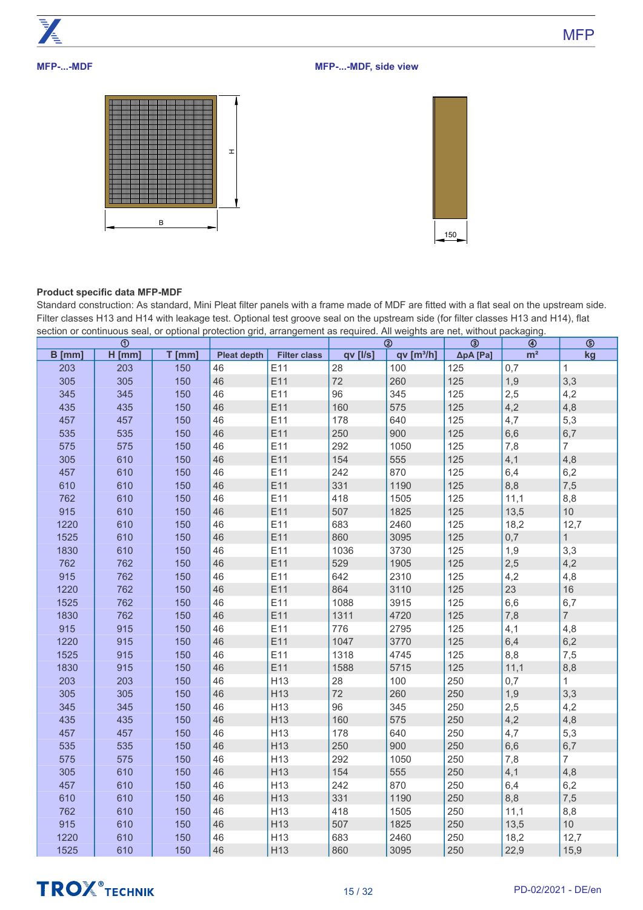

# **MFP-...-MDF**







# **Product specific data MFP-MDF**

Standard construction: As standard, Mini Pleat filter panels with a frame made of MDF are fitted with a flat seal on the upstream side. Filter classes H13 and H14 with leakage test. Optional test groove seal on the upstream side (for filter classes H13 and H14), flat section or continuous seal, or optional protection grid, arrangement as required. All weights are net, without packaging.

|        | ⊕        |          |                    |                     |          | ➁                      | ③        | ⊕              | $\circledS$     |
|--------|----------|----------|--------------------|---------------------|----------|------------------------|----------|----------------|-----------------|
| B [mm] | $H$ [mm] | $T$ [mm] | <b>Pleat depth</b> | <b>Filter class</b> | qv [l/s] | qv [m <sup>3</sup> /h] | ΔpA [Pa] | m <sup>2</sup> | kg              |
| 203    | 203      | 150      | 46                 | E11                 | 28       | 100                    | 125      | 0,7            | $\mathbf{1}$    |
| 305    | 305      | 150      | 46                 | E11                 | 72       | 260                    | 125      | 1,9            | 3,3             |
| 345    | 345      | 150      | 46                 | E11                 | 96       | 345                    | 125      | 2,5            | 4,2             |
| 435    | 435      | 150      | 46                 | E11                 | 160      | 575                    | 125      | 4,2            | 4,8             |
| 457    | 457      | 150      | 46                 | E11                 | 178      | 640                    | 125      | 4,7            | 5,3             |
| 535    | 535      | 150      | 46                 | E11                 | 250      | 900                    | 125      | 6,6            | 6,7             |
| 575    | 575      | 150      | 46                 | E11                 | 292      | 1050                   | 125      | 7,8            | 7 <sup>1</sup>  |
| 305    | 610      | 150      | 46                 | E11                 | 154      | 555                    | 125      | 4,1            | 4,8             |
| 457    | 610      | 150      | 46                 | E11                 | 242      | 870                    | 125      | 6,4            | 6,2             |
| 610    | 610      | 150      | 46                 | E11                 | 331      | 1190                   | 125      | 8,8            | 7,5             |
| 762    | 610      | 150      | 46                 | E11                 | 418      | 1505                   | 125      | 11,1           | 8,8             |
| 915    | 610      | 150      | 46                 | E11                 | 507      | 1825                   | 125      | 13,5           | 10 <sup>1</sup> |
| 1220   | 610      | 150      | 46                 | E11                 | 683      | 2460                   | 125      | 18,2           | 12,7            |
| 1525   | 610      | 150      | 46                 | E11                 | 860      | 3095                   | 125      | 0,7            | 1               |
| 1830   | 610      | 150      | 46                 | E11                 | 1036     | 3730                   | 125      | 1,9            | 3,3             |
| 762    | 762      | 150      | 46                 | E11                 | 529      | 1905                   | 125      | 2,5            | 4,2             |
| 915    | 762      | 150      | 46                 | E11                 | 642      | 2310                   | 125      | 4,2            | 4,8             |
| 1220   | 762      | 150      | 46                 | E11                 | 864      | 3110                   | 125      | 23             | 16              |
| 1525   | 762      | 150      | 46                 | E11                 | 1088     | 3915                   | 125      | 6,6            | 6,7             |
| 1830   | 762      | 150      | 46                 | E11                 | 1311     | 4720                   | 125      | 7,8            | $\overline{7}$  |
| 915    | 915      | 150      | 46                 | E11                 | 776      | 2795                   | 125      | 4,1            | 4,8             |
| 1220   | 915      | 150      | 46                 | E11                 | 1047     | 3770                   | 125      | 6,4            | 6,2             |
| 1525   | 915      | 150      | 46                 | E11                 | 1318     | 4745                   | 125      | 8,8            | 7,5             |
| 1830   | 915      | 150      | 46                 | E11                 | 1588     | 5715                   | 125      | 11,1           | 8,8             |
| 203    | 203      | 150      | 46                 | H <sub>13</sub>     | 28       | 100                    | 250      | 0,7            | 1               |
| 305    | 305      | 150      | 46                 | H13                 | 72       | 260                    | 250      | 1,9            | 3,3             |
| 345    | 345      | 150      | 46                 | H <sub>13</sub>     | 96       | 345                    | 250      | 2,5            | 4,2             |
| 435    | 435      | 150      | 46                 | H <sub>13</sub>     | 160      | 575                    | 250      | 4,2            | 4,8             |
| 457    | 457      | 150      | 46                 | H13                 | 178      | 640                    | 250      | 4,7            | 5,3             |
| 535    | 535      | 150      | 46                 | H13                 | 250      | 900                    | 250      | 6,6            | 6,7             |
| 575    | 575      | 150      | 46                 | H <sub>13</sub>     | 292      | 1050                   | 250      | 7,8            | $\overline{7}$  |
| 305    | 610      | 150      | 46                 | H <sub>13</sub>     | 154      | 555                    | 250      | 4,1            | 4,8             |
| 457    | 610      | 150      | 46                 | H <sub>13</sub>     | 242      | 870                    | 250      | 6,4            | 6,2             |
| 610    | 610      | 150      | 46                 | H13                 | 331      | 1190                   | 250      | 8,8            | 7,5             |
| 762    | 610      | 150      | 46                 | H <sub>13</sub>     | 418      | 1505                   | 250      | 11,1           | 8,8             |
| 915    | 610      | 150      | 46                 | H <sub>13</sub>     | 507      | 1825                   | 250      | 13,5           | 10 <sup>°</sup> |
| 1220   | 610      | 150      | 46                 | H <sub>13</sub>     | 683      | 2460                   | 250      | 18,2           | 12,7            |
| 1525   | 610      | 150      | 46                 | H13                 | 860      | 3095                   | 250      | 22,9           | 15,9            |

# **TROX** TECHNIK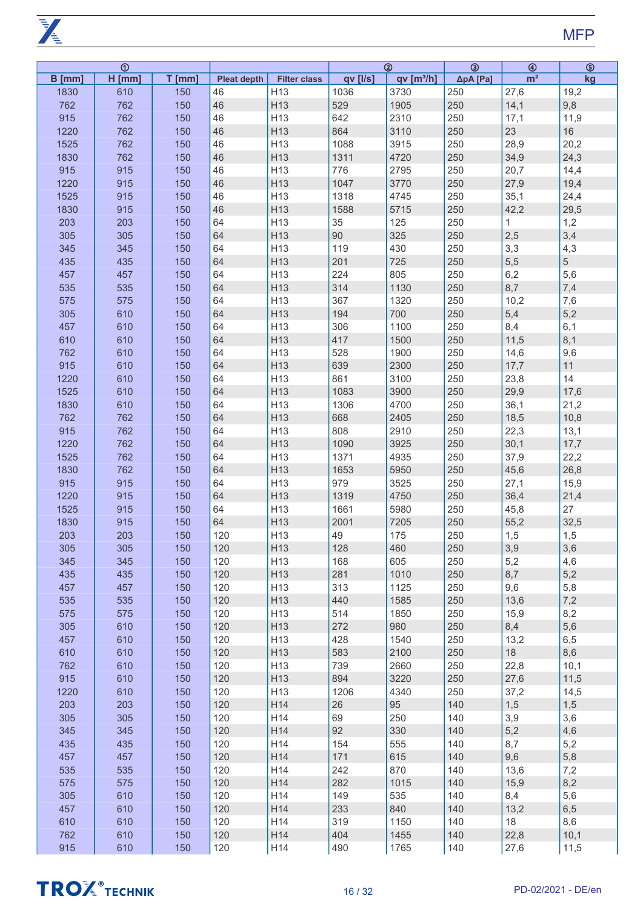**PARTIES** 

|        | $\overline{\odot}$ |          |                    |                     |          | $\overline{a}$       | $\overline{\circledcirc}$ | $\circledast$  | $\overline{\circledcirc}$ |
|--------|--------------------|----------|--------------------|---------------------|----------|----------------------|---------------------------|----------------|---------------------------|
| B [mm] | $H$ [mm]           | $T$ [mm] | <b>Pleat depth</b> | <b>Filter class</b> | qv [l/s] | qv[ <sup>3</sup> /h] | ΔpA [Pa]                  | m <sup>2</sup> | kg                        |
| 1830   | 610                | 150      | 46                 | H <sub>13</sub>     | 1036     | 3730                 | 250                       | 27,6           | 19,2                      |
| 762    | 762                | 150      | 46                 | H <sub>13</sub>     | 529      | 1905                 | 250                       | 14,1           | 9,8                       |
| 915    | 762                | 150      | 46                 | H <sub>13</sub>     | 642      | 2310                 | 250                       | 17,1           | 11,9                      |
| 1220   | 762                | 150      | 46                 | H13                 | 864      | 3110                 | 250                       | 23             | 16                        |
|        |                    |          |                    |                     |          |                      |                           |                |                           |
| 1525   | 762                | 150      | 46                 | H13                 | 1088     | 3915                 | 250                       | 28,9           | 20,2                      |
| 1830   | 762                | 150      | 46                 | H13                 | 1311     | 4720                 | 250                       | 34,9           | 24,3                      |
| 915    | 915                | 150      | 46                 | H13                 | 776      | 2795                 | 250                       | 20,7           | 14,4                      |
| 1220   | 915                | 150      | 46                 | H13                 | 1047     | 3770                 | 250                       | 27,9           | 19,4                      |
| 1525   | 915                | 150      | 46                 | H <sub>13</sub>     | 1318     | 4745                 | 250                       | 35,1           | 24,4                      |
| 1830   | 915                | 150      | 46                 | H13                 | 1588     | 5715                 | 250                       | 42,2           | 29,5                      |
| 203    | 203                | 150      | 64                 | H <sub>13</sub>     | 35       | 125                  | 250                       | $\mathbf{1}$   | 1,2                       |
| 305    | 305                | 150      | 64                 | H13                 | 90       | 325                  | 250                       | 2,5            | 3,4                       |
| 345    | 345                | 150      | 64                 | H <sub>13</sub>     | 119      | 430                  | 250                       | 3,3            | 4,3                       |
|        |                    |          | 64                 |                     |          |                      |                           |                | 5                         |
| 435    | 435                | 150      |                    | H13                 | 201      | 725                  | 250                       | 5,5            |                           |
| 457    | 457                | 150      | 64                 | H <sub>13</sub>     | 224      | 805                  | 250                       | 6,2            | 5,6                       |
| 535    | 535                | 150      | 64                 | H13                 | 314      | 1130                 | 250                       | 8,7            | 7,4                       |
| 575    | 575                | 150      | 64                 | H <sub>13</sub>     | 367      | 1320                 | 250                       | 10,2           | 7,6                       |
| 305    | 610                | 150      | 64                 | H13                 | 194      | 700                  | 250                       | 5,4            | 5,2                       |
| 457    | 610                | 150      | 64                 | H13                 | 306      | 1100                 | 250                       | 8,4            | 6,1                       |
| 610    | 610                | 150      | 64                 | H13                 | 417      | 1500                 | 250                       | 11,5           | 8,1                       |
| 762    | 610                | 150      | 64                 | H13                 | 528      | 1900                 | 250                       | 14,6           | 9,6                       |
| 915    | 610                | 150      | 64                 | H13                 | 639      | 2300                 | 250                       | 17,7           | 11                        |
|        |                    |          | 64                 |                     |          |                      |                           |                |                           |
| 1220   | 610                | 150      |                    | H13                 | 861      | 3100                 | 250                       | 23,8           | 14                        |
| 1525   | 610                | 150      | 64                 | H13                 | 1083     | 3900                 | 250                       | 29,9           | 17,6                      |
| 1830   | 610                | 150      | 64                 | H13                 | 1306     | 4700                 | 250                       | 36,1           | 21,2                      |
| 762    | 762                | 150      | 64                 | H <sub>13</sub>     | 668      | 2405                 | 250                       | 18,5           | 10,8                      |
| 915    | 762                | 150      | 64                 | H13                 | 808      | 2910                 | 250                       | 22,3           | 13,1                      |
| 1220   | 762                | 150      | 64                 | H <sub>13</sub>     | 1090     | 3925                 | 250                       | 30,1           | 17,7                      |
| 1525   | 762                | 150      | 64                 | H13                 | 1371     | 4935                 | 250                       | 37,9           | 22,2                      |
| 1830   | 762                | 150      | 64                 | H <sub>13</sub>     | 1653     | 5950                 | 250                       | 45,6           | 26,8                      |
| 915    | 915                | 150      | 64                 | H13                 | 979      | 3525                 | 250                       | 27,1           | 15,9                      |
| 1220   | 915                | 150      | 64                 | H <sub>13</sub>     | 1319     | 4750                 | 250                       | 36,4           | 21,4                      |
|        |                    | 150      | 64                 | H13                 |          |                      | 250                       |                |                           |
| 1525   | 915                |          |                    |                     | 1661     | 5980                 |                           | 45,8           | 27                        |
| 1830   | 915                | 150      | 64                 | H <sub>13</sub>     | 2001     | 7205                 | 250                       | 55,2           | 32,5                      |
| 203    | 203                | 150      | 120                | H13                 | 49       | 175                  | 250                       | 1,5            | 1,5                       |
| 305    | 305                | 150      | 120                | H13                 | 128      | 460                  | 250                       | 3,9            | 3,6                       |
| 345    | 345                | 150      | 120                | H13                 | 168      | 605                  | 250                       | 5,2            | 4,6                       |
| 435    | 435                | 150      | 120                | H13                 | 281      | 1010                 | 250                       | 8,7            | 5,2                       |
| 457    | 457                | 150      | 120                | H <sub>13</sub>     | 313      | 1125                 | 250                       | 9,6            | 5,8                       |
| 535    | 535                | 150      | 120                | H13                 | 440      | 1585                 | 250                       | 13,6           | 7,2                       |
| 575    | 575                | 150      | 120                | H <sub>13</sub>     | 514      | 1850                 | 250                       | 15,9           | 8,2                       |
| 305    | 610                | 150      | 120                | H13                 | 272      | 980                  | 250                       | 8,4            | 5,6                       |
| 457    | 610                | 150      | 120                | H <sub>13</sub>     | 428      | 1540                 | 250                       | 13,2           | 6,5                       |
|        |                    |          |                    | H13                 | 583      | 2100                 | 250                       | 18             |                           |
| 610    | 610                | 150      | 120                |                     |          |                      |                           |                | 8,6                       |
| 762    | 610                | 150      | 120                | H <sub>13</sub>     | 739      | 2660                 | 250                       | 22,8           | 10,1                      |
| 915    | 610                | 150      | 120                | H13                 | 894      | 3220                 | 250                       | 27,6           | 11,5                      |
| 1220   | 610                | 150      | 120                | H <sub>13</sub>     | 1206     | 4340                 | 250                       | 37,2           | 14,5                      |
| 203    | 203                | 150      | 120                | H14                 | 26       | 95                   | 140                       | 1,5            | 1,5                       |
| 305    | 305                | 150      | 120                | H14                 | 69       | 250                  | 140                       | 3,9            | 3,6                       |
| 345    | 345                | 150      | 120                | H14                 | 92       | 330                  | 140                       | 5,2            | 4,6                       |
| 435    | 435                | 150      | 120                | H14                 | 154      | 555                  | 140                       | 8,7            | 5,2                       |
| 457    | 457                | 150      | 120                | H14                 | 171      | 615                  | 140                       | 9,6            | 5,8                       |
| 535    | 535                | 150      | 120                | H14                 | 242      | 870                  | 140                       | 13,6           | 7,2                       |
|        |                    |          |                    |                     |          |                      |                           |                |                           |
| 575    | 575                | 150      | 120                | H14                 | 282      | 1015                 | 140                       | 15,9           | 8,2                       |
| 305    | 610                | 150      | 120                | H14                 | 149      | 535                  | 140                       | 8,4            | 5,6                       |
| 457    | 610                | 150      | 120                | H14                 | 233      | 840                  | 140                       | 13,2           | 6,5                       |
| 610    | 610                | 150      | 120                | H14                 | 319      | 1150                 | 140                       | 18             | 8,6                       |
| 762    | 610                | 150      | 120                | H14                 | 404      | 1455                 | 140                       | 22,8           | 10,1                      |
| 915    | 610                | 150      | 120                | H14                 | 490      | 1765                 | 140                       | 27,6           | 11,5                      |

# **TROX**<sup>®</sup>TECHNIK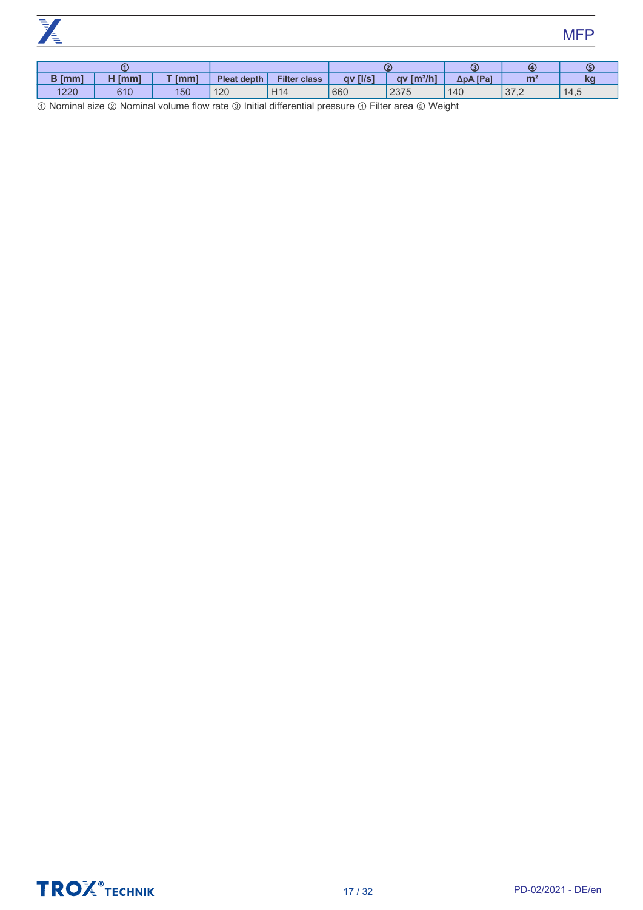

# MFP

|               | 0      |          |             |                     |                 | $\bf(2)$                           | Θ        | $\mathbf{G}$  |                               |
|---------------|--------|----------|-------------|---------------------|-----------------|------------------------------------|----------|---------------|-------------------------------|
| <b>B</b> [mm] | ' [mm] | $T$ [mm] | Pleat depth | <b>Filter class</b> | <b>gv</b> [I/s] | $\left[\frac{m^3}{h}\right]$<br>av | ΔpA [Pa] | m             | $\overline{\phantom{a}}$<br>W |
| 1220          | 610    | 150      | 120         | H <sub>14</sub>     | 660             | 2375                               | 140      | 27.O<br>ے, ان | 14,5                          |

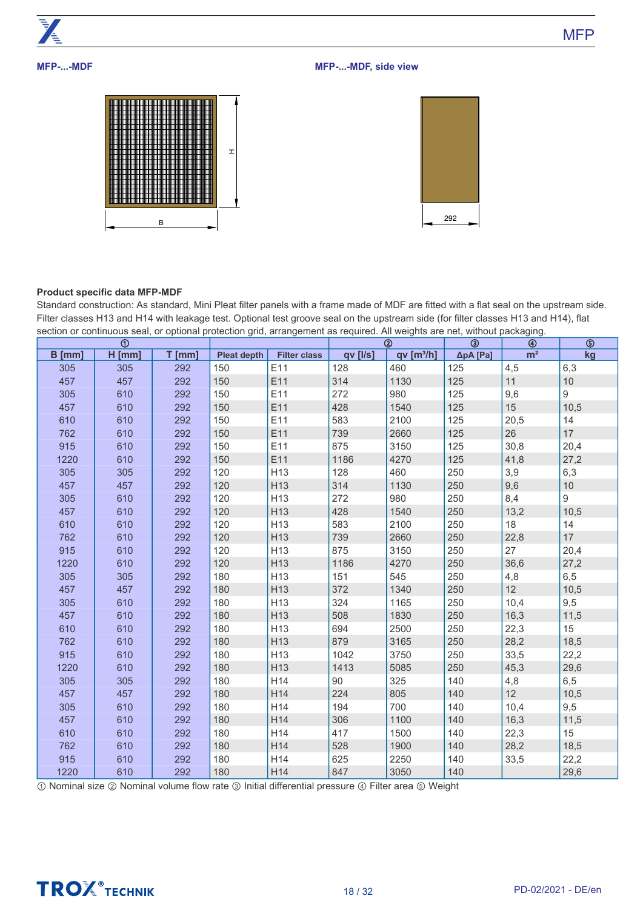

**MFP-...-MDF**

# **MFP-...-MDF, side view**





# **Product specific data MFP-MDF**

Standard construction: As standard, Mini Pleat filter panels with a frame made of MDF are fitted with a flat seal on the upstream side. Filter classes H13 and H14 with leakage test. Optional test groove seal on the upstream side (for filter classes H13 and H14), flat section or continuous seal, or optional protection grid, arrangement as required. All weights are net, without packaging.

|        | ⊕        |        |                    |                     |          | $^{\circ}$           | ☺        | ◉              | ®    |
|--------|----------|--------|--------------------|---------------------|----------|----------------------|----------|----------------|------|
| B [mm] | $H$ [mm] | T [mm] | <b>Pleat depth</b> | <b>Filter class</b> | qv [l/s] | qv[ <sup>3</sup> /h] | ΔpA [Pa] | m <sup>2</sup> | kg   |
| 305    | 305      | 292    | 150                | E11                 | 128      | 460                  | 125      | 4,5            | 6,3  |
| 457    | 457      | 292    | 150                | E11                 | 314      | 1130                 | 125      | 11             | 10   |
| 305    | 610      | 292    | 150                | E11                 | 272      | 980                  | 125      | $9,6$          | 9    |
| 457    | 610      | 292    | 150                | E11                 | 428      | 1540                 | 125      | 15             | 10,5 |
| 610    | 610      | 292    | 150                | E11                 | 583      | 2100                 | 125      | 20,5           | 14   |
| 762    | 610      | 292    | 150                | E11                 | 739      | 2660                 | 125      | 26             | 17   |
| 915    | 610      | 292    | 150                | E11                 | 875      | 3150                 | 125      | 30,8           | 20,4 |
| 1220   | 610      | 292    | 150                | E11                 | 1186     | 4270                 | 125      | 41,8           | 27,2 |
| 305    | 305      | 292    | 120                | H <sub>13</sub>     | 128      | 460                  | 250      | 3,9            | 6,3  |
| 457    | 457      | 292    | 120                | H <sub>13</sub>     | 314      | 1130                 | 250      | $9,6$          | 10   |
| 305    | 610      | 292    | 120                | H <sub>13</sub>     | 272      | 980                  | 250      | 8,4            | 9    |
| 457    | 610      | 292    | 120                | H <sub>13</sub>     | 428      | 1540                 | 250      | 13,2           | 10,5 |
| 610    | 610      | 292    | 120                | H <sub>13</sub>     | 583      | 2100                 | 250      | 18             | 14   |
| 762    | 610      | 292    | 120                | H <sub>13</sub>     | 739      | 2660                 | 250      | 22,8           | 17   |
| 915    | 610      | 292    | 120                | H <sub>13</sub>     | 875      | 3150                 | 250      | 27             | 20,4 |
| 1220   | 610      | 292    | 120                | H <sub>13</sub>     | 1186     | 4270                 | 250      | 36,6           | 27,2 |
| 305    | 305      | 292    | 180                | H <sub>13</sub>     | 151      | 545                  | 250      | 4,8            | 6,5  |
| 457    | 457      | 292    | 180                | H <sub>13</sub>     | 372      | 1340                 | 250      | 12             | 10,5 |
| 305    | 610      | 292    | 180                | H <sub>13</sub>     | 324      | 1165                 | 250      | 10,4           | 9,5  |
| 457    | 610      | 292    | 180                | H <sub>13</sub>     | 508      | 1830                 | 250      | 16,3           | 11,5 |
| 610    | 610      | 292    | 180                | H <sub>13</sub>     | 694      | 2500                 | 250      | 22,3           | 15   |
| 762    | 610      | 292    | 180                | H <sub>13</sub>     | 879      | 3165                 | 250      | 28,2           | 18,5 |
| 915    | 610      | 292    | 180                | H <sub>13</sub>     | 1042     | 3750                 | 250      | 33,5           | 22,2 |
| 1220   | 610      | 292    | 180                | H <sub>13</sub>     | 1413     | 5085                 | 250      | 45,3           | 29,6 |
| 305    | 305      | 292    | 180                | H14                 | 90       | 325                  | 140      | 4,8            | 6,5  |
| 457    | 457      | 292    | 180                | H14                 | 224      | 805                  | 140      | 12             | 10,5 |
| 305    | 610      | 292    | 180                | H14                 | 194      | 700                  | 140      | 10,4           | 9,5  |
| 457    | 610      | 292    | 180                | H14                 | 306      | 1100                 | 140      | 16,3           | 11,5 |
| 610    | 610      | 292    | 180                | H14                 | 417      | 1500                 | 140      | 22,3           | 15   |
| 762    | 610      | 292    | 180                | H14                 | 528      | 1900                 | 140      | 28,2           | 18,5 |
| 915    | 610      | 292    | 180                | H14                 | 625      | 2250                 | 140      | 33,5           | 22,2 |
| 1220   | 610      | 292    | 180                | H14                 | 847      | 3050                 | 140      |                | 29,6 |

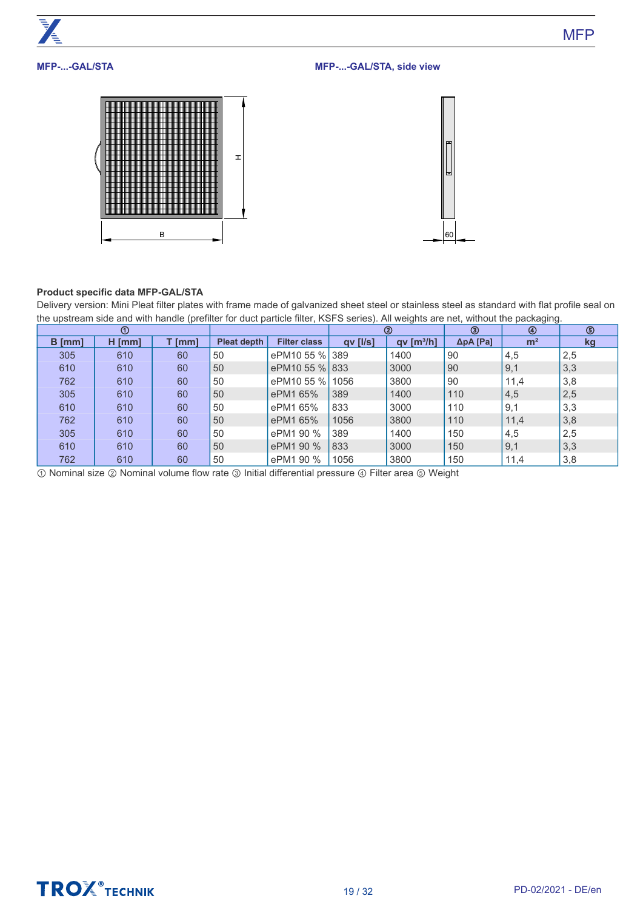

# **Product specific data MFP-GAL/STA**

Delivery version: Mini Pleat filter plates with frame made of galvanized sheet steel or stainless steel as standard with flat profile seal on the upstream side and with handle (prefilter for duct particle filter, KSFS series). All weights are net, without the packaging.

|          | $^{\circ}$ |        |                    |                     |                | ➁                      | ③                 | ⊕              | ⑤   |
|----------|------------|--------|--------------------|---------------------|----------------|------------------------|-------------------|----------------|-----|
| $B$ [mm] | $H$ [mm]   | T [mm] | <b>Pleat depth</b> | <b>Filter class</b> | $qv$ [ $I/s$ ] | qv [m <sup>3</sup> /h] | $\Delta p$ A [Pa] | m <sup>2</sup> | kg  |
| 305      | 610        | 60     | 50                 | ePM10 55 % 389      |                | 1400                   | 90                | 4,5            | 2,5 |
| 610      | 610        | 60     | 50                 | ePM10 55 % 833      |                | 3000                   | 90                | 9,1            | 3,3 |
| 762      | 610        | 60     | 50                 | ePM10 55 % 1056     |                | 3800                   | 90                | 11,4           | 3,8 |
| 305      | 610        | 60     | 50                 | ePM1 65%            | 389            | 1400                   | 110               | 4,5            | 2,5 |
| 610      | 610        | 60     | 50                 | ePM1 65%            | 833            | 3000                   | 110               | 9,1            | 3,3 |
| 762      | 610        | 60     | 50                 | ePM1 65%            | 1056           | 3800                   | 110               | 11,4           | 3,8 |
| 305      | 610        | 60     | 50                 | ePM1 90 %           | 389            | 1400                   | 150               | 4,5            | 2,5 |
| 610      | 610        | 60     | 50                 | ePM1 90 %           | 833            | 3000                   | 150               | 9,1            | 3,3 |
| 762      | 610        | 60     | 50                 | ePM1 90 %           | 1056           | 3800                   | 150               | 11,4           | 3,8 |

① Nominal size ② Nominal volume flow rate ③ Initial differential pressure ④ Filter area ⑤ Weight



**MFP**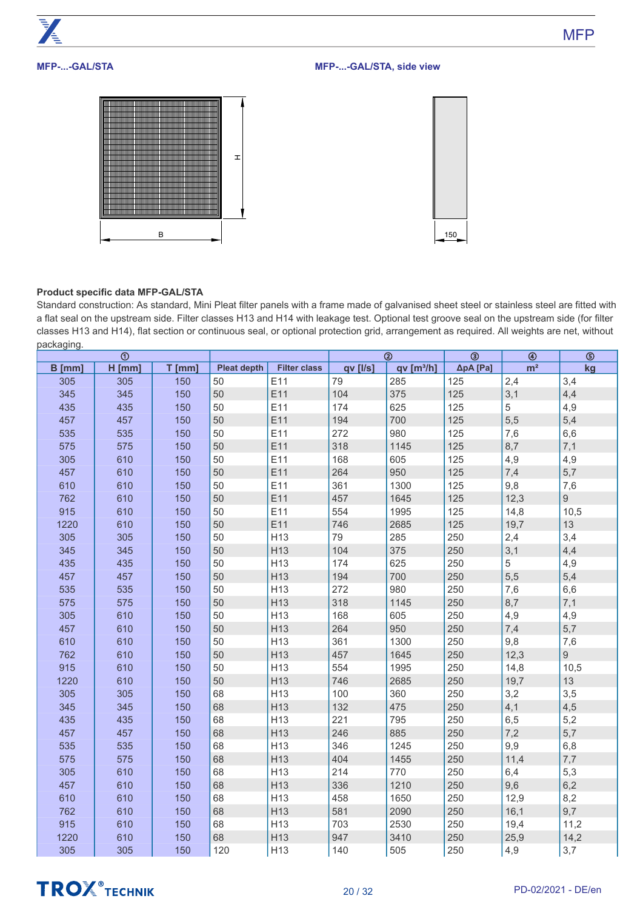# **MFP-...-GAL/STA**

# **MFP-...-GAL/STA, side view**





# **Product specific data MFP-GAL/STA**

Standard construction: As standard, Mini Pleat filter panels with a frame made of galvanised sheet steel or stainless steel are fitted with a flat seal on the upstream side. Filter classes H13 and H14 with leakage test. Optional test groove seal on the upstream side (for filter classes H13 and H14), flat section or continuous seal, or optional protection grid, arrangement as required. All weights are net, without packaging.

|        | $\odot$  |          |                    |                     |          | $^{\circledR}$       | $\overline{\circledcirc}$ | $\circledast$  | $\overline{\circledcirc}$ |
|--------|----------|----------|--------------------|---------------------|----------|----------------------|---------------------------|----------------|---------------------------|
| B [mm] | $H$ [mm] | $T$ [mm] | <b>Pleat depth</b> | <b>Filter class</b> | qv [l/s] | qv[ <sup>3</sup> /h] | ΔpA [Pa]                  | m <sup>2</sup> | kg                        |
| 305    | 305      | 150      | 50                 | E11                 | 79       | 285                  | 125                       | 2,4            | 3,4                       |
| 345    | 345      | 150      | 50                 | E11                 | 104      | 375                  | 125                       | 3,1            | 4,4                       |
| 435    | 435      | 150      | 50                 | E11                 | 174      | 625                  | 125                       | 5              | 4,9                       |
| 457    | 457      | 150      | 50                 | E11                 | 194      | 700                  | 125                       | 5,5            | 5,4                       |
| 535    | 535      | 150      | 50                 | E11                 | 272      | 980                  | 125                       | 7,6            | 6,6                       |
| 575    | 575      | 150      | 50                 | E11                 | 318      | 1145                 | 125                       | 8,7            | 7,1                       |
| 305    | 610      | 150      | 50                 | E11                 | 168      | 605                  | 125                       | 4,9            | 4,9                       |
| 457    | 610      | 150      | 50                 | E11                 | 264      | 950                  | 125                       | 7,4            | 5,7                       |
| 610    | 610      | 150      | 50                 | E11                 | 361      | 1300                 | 125                       | 9,8            | 7,6                       |
| 762    | 610      | 150      | 50                 | E11                 | 457      | 1645                 | 125                       | 12,3           | 9                         |
| 915    | 610      | 150      | 50                 | E11                 | 554      | 1995                 | 125                       | 14,8           | 10,5                      |
| 1220   | 610      | 150      | 50                 | E11                 | 746      | 2685                 | 125                       | 19,7           | 13                        |
| 305    | 305      | 150      | 50                 | H <sub>13</sub>     | 79       | 285                  | 250                       | 2,4            | 3,4                       |
| 345    | 345      | 150      | 50                 | H <sub>13</sub>     | 104      | 375                  | 250                       | 3,1            | 4,4                       |
| 435    | 435      | 150      | 50                 | H <sub>13</sub>     | 174      | 625                  | 250                       | 5              | 4,9                       |
| 457    | 457      | 150      | 50                 | H <sub>13</sub>     | 194      | 700                  | 250                       | 5,5            | 5,4                       |
| 535    | 535      | 150      | 50                 | H13                 | 272      | 980                  | 250                       | 7,6            | 6,6                       |
| 575    | 575      | 150      | 50                 | H13                 | 318      | 1145                 | 250                       | 8,7            | 7,1                       |
| 305    | 610      | 150      | 50                 | H13                 | 168      | 605                  | 250                       | 4,9            | 4,9                       |
| 457    | 610      | 150      | 50                 | H13                 | 264      | 950                  | 250                       | 7,4            | 5,7                       |
| 610    | 610      | 150      | 50                 | H13                 | 361      | 1300                 | 250                       | 9,8            | 7,6                       |
| 762    | 610      | 150      | 50                 | H <sub>13</sub>     | 457      | 1645                 | 250                       | 12,3           | $\overline{9}$            |
| 915    | 610      | 150      | 50                 | H <sub>13</sub>     | 554      | 1995                 | 250                       | 14,8           | 10,5                      |
| 1220   | 610      | 150      | 50                 | H <sub>13</sub>     | 746      | 2685                 | 250                       | 19,7           | 13                        |
| 305    | 305      | 150      | 68                 | H <sub>13</sub>     | 100      | 360                  | 250                       | 3,2            | 3,5                       |
| 345    | 345      | 150      | 68                 | H <sub>13</sub>     | 132      | 475                  | 250                       | 4,1            | 4,5                       |
| 435    | 435      | 150      | 68                 | H <sub>13</sub>     | 221      | 795                  | 250                       | 6,5            | 5,2                       |
| 457    | 457      | 150      | 68                 | H <sub>13</sub>     | 246      | 885                  | 250                       | 7,2            | 5,7                       |
| 535    | 535      | 150      | 68                 | H <sub>13</sub>     | 346      | 1245                 | 250                       | 9,9            | 6,8                       |
| 575    | 575      | 150      | 68                 | H13                 | 404      | 1455                 | 250                       | 11,4           | 7,7                       |
| 305    | 610      | 150      | 68                 | H <sub>13</sub>     | 214      | 770                  | 250                       | 6,4            | 5,3                       |
| 457    | 610      | 150      | 68                 | H13                 | 336      | 1210                 | 250                       | 9,6            | 6,2                       |
| 610    | 610      | 150      | 68                 | H <sub>13</sub>     | 458      | 1650                 | 250                       | 12,9           | 8,2                       |
| 762    | 610      | 150      | 68                 | H13                 | 581      | 2090                 | 250                       | 16,1           | 9,7                       |
| 915    | 610      | 150      | 68                 | H <sub>13</sub>     | 703      | 2530                 | 250                       | 19,4           | 11,2                      |
| 1220   | 610      | 150      | 68                 | H <sub>13</sub>     | 947      | 3410                 | 250                       | 25,9           | 14,2                      |
| 305    | 305      | 150      | 120                | H <sub>13</sub>     | 140      | 505                  | 250                       | 4,9            | 3,7                       |

# **TROX** TECHNIK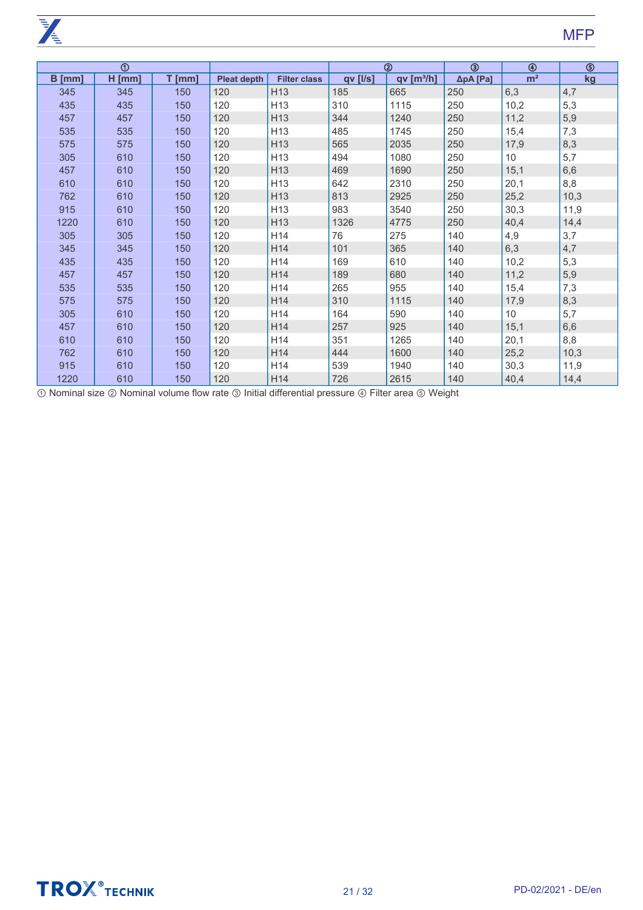**PASSED** 

|        | $^{\circ}$ |          |                    |                     |          | $^{\circledR}$       | $\circledcirc$ | $\circledast$  | $\circledS$ |
|--------|------------|----------|--------------------|---------------------|----------|----------------------|----------------|----------------|-------------|
| B [mm] | $H$ [mm]   | $T$ [mm] | <b>Pleat depth</b> | <b>Filter class</b> | qv [l/s] | qv[ <sup>3</sup> /h] | ΔpA [Pa]       | m <sup>2</sup> | kg          |
| 345    | 345        | 150      | 120                | H <sub>13</sub>     | 185      | 665                  | 250            | 6,3            | 4,7         |
| 435    | 435        | 150      | 120                | H <sub>13</sub>     | 310      | 1115                 | 250            | 10,2           | 5,3         |
| 457    | 457        | 150      | 120                | H <sub>13</sub>     | 344      | 1240                 | 250            | 11,2           | 5,9         |
| 535    | 535        | 150      | 120                | H <sub>13</sub>     | 485      | 1745                 | 250            | 15,4           | 7,3         |
| 575    | 575        | 150      | 120                | H <sub>13</sub>     | 565      | 2035                 | 250            | 17,9           | 8,3         |
| 305    | 610        | 150      | 120                | H <sub>13</sub>     | 494      | 1080                 | 250            | 10             | 5,7         |
| 457    | 610        | 150      | 120                | H <sub>13</sub>     | 469      | 1690                 | 250            | 15,1           | 6,6         |
| 610    | 610        | 150      | 120                | H <sub>13</sub>     | 642      | 2310                 | 250            | 20,1           | 8,8         |
| 762    | 610        | 150      | 120                | H <sub>13</sub>     | 813      | 2925                 | 250            | 25,2           | 10,3        |
| 915    | 610        | 150      | 120                | H13                 | 983      | 3540                 | 250            | 30,3           | 11,9        |
| 1220   | 610        | 150      | 120                | H <sub>13</sub>     | 1326     | 4775                 | 250            | 40,4           | 14,4        |
| 305    | 305        | 150      | 120                | H14                 | 76       | 275                  | 140            | 4,9            | 3,7         |
| 345    | 345        | 150      | 120                | H14                 | 101      | 365                  | 140            | 6,3            | 4,7         |
| 435    | 435        | 150      | 120                | H14                 | 169      | 610                  | 140            | 10,2           | 5,3         |
| 457    | 457        | 150      | 120                | H14                 | 189      | 680                  | 140            | 11,2           | 5,9         |
| 535    | 535        | 150      | 120                | H14                 | 265      | 955                  | 140            | 15,4           | 7,3         |
| 575    | 575        | 150      | 120                | H14                 | 310      | 1115                 | 140            | 17,9           | 8,3         |
| 305    | 610        | 150      | 120                | H14                 | 164      | 590                  | 140            | 10             | 5,7         |
| 457    | 610        | 150      | 120                | H14                 | 257      | 925                  | 140            | 15,1           | 6,6         |
| 610    | 610        | 150      | 120                | H14                 | 351      | 1265                 | 140            | 20,1           | 8,8         |
| 762    | 610        | 150      | 120                | H14                 | 444      | 1600                 | 140            | 25,2           | 10,3        |
| 915    | 610        | 150      | 120                | H14                 | 539      | 1940                 | 140            | 30,3           | 11,9        |
| 1220   | 610        | 150      | 120                | H14                 | 726      | 2615                 | 140            | 40,4           | 14,4        |

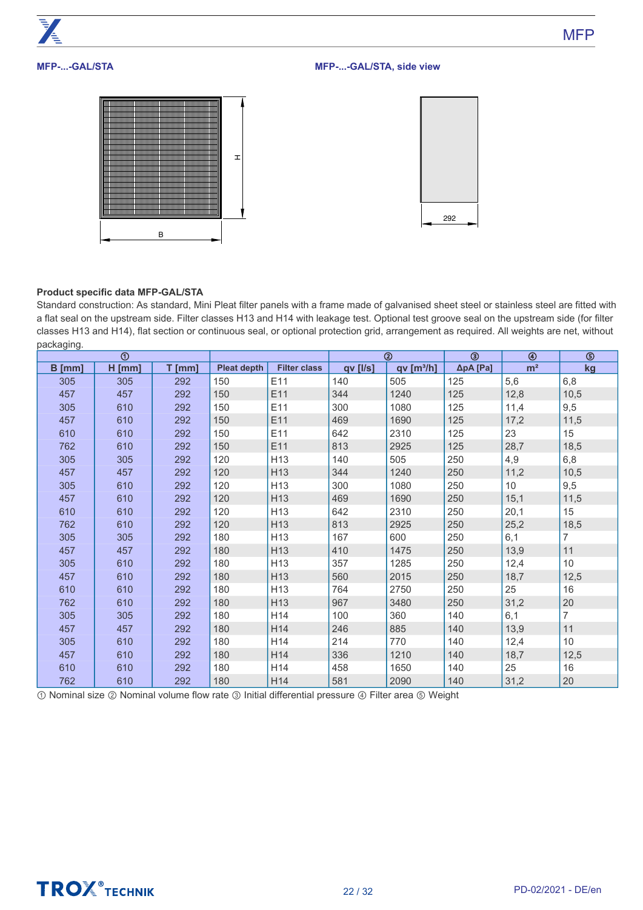# **MFP-...-GAL/STA**

# **MFP-...-GAL/STA, side view**





# **Product specific data MFP-GAL/STA**

Standard construction: As standard, Mini Pleat filter panels with a frame made of galvanised sheet steel or stainless steel are fitted with a flat seal on the upstream side. Filter classes H13 and H14 with leakage test. Optional test groove seal on the upstream side (for filter classes H13 and H14), flat section or continuous seal, or optional protection grid, arrangement as required. All weights are net, without packaging.

|          | $^{\circ}$ |          |                    |                     |                | ②                     | ☺                 | ◉              | ᠖              |
|----------|------------|----------|--------------------|---------------------|----------------|-----------------------|-------------------|----------------|----------------|
| $B$ [mm] | $H$ [mm]   | $T$ [mm] | <b>Pleat depth</b> | <b>Filter class</b> | $qv$ [ $I/s$ ] | qv[m <sup>3</sup> /h] | $\Delta p$ A [Pa] | m <sup>2</sup> | kg             |
| 305      | 305        | 292      | 150                | E11                 | 140            | 505                   | 125               | 5,6            | 6,8            |
| 457      | 457        | 292      | 150                | E11                 | 344            | 1240                  | 125               | 12,8           | 10,5           |
| 305      | 610        | 292      | 150                | E11                 | 300            | 1080                  | 125               | 11,4           | 9,5            |
| 457      | 610        | 292      | 150                | E11                 | 469            | 1690                  | 125               | 17,2           | 11,5           |
| 610      | 610        | 292      | 150                | E11                 | 642            | 2310                  | 125               | 23             | 15             |
| 762      | 610        | 292      | 150                | E11                 | 813            | 2925                  | 125               | 28,7           | 18,5           |
| 305      | 305        | 292      | 120                | H <sub>13</sub>     | 140            | 505                   | 250               | 4,9            | 6,8            |
| 457      | 457        | 292      | 120                | H <sub>13</sub>     | 344            | 1240                  | 250               | 11,2           | 10,5           |
| 305      | 610        | 292      | 120                | H <sub>13</sub>     | 300            | 1080                  | 250               | 10             | 9,5            |
| 457      | 610        | 292      | 120                | H <sub>13</sub>     | 469            | 1690                  | 250               | 15,1           | 11,5           |
| 610      | 610        | 292      | 120                | H13                 | 642            | 2310                  | 250               | 20,1           | 15             |
| 762      | 610        | 292      | 120                | H <sub>13</sub>     | 813            | 2925                  | 250               | 25,2           | 18,5           |
| 305      | 305        | 292      | 180                | H <sub>13</sub>     | 167            | 600                   | 250               | 6,1            | 7              |
| 457      | 457        | 292      | 180                | H <sub>13</sub>     | 410            | 1475                  | 250               | 13,9           | 11             |
| 305      | 610        | 292      | 180                | H <sub>13</sub>     | 357            | 1285                  | 250               | 12,4           | 10             |
| 457      | 610        | 292      | 180                | H <sub>13</sub>     | 560            | 2015                  | 250               | 18,7           | 12,5           |
| 610      | 610        | 292      | 180                | H <sub>13</sub>     | 764            | 2750                  | 250               | 25             | 16             |
| 762      | 610        | 292      | 180                | H <sub>13</sub>     | 967            | 3480                  | 250               | 31,2           | 20             |
| 305      | 305        | 292      | 180                | H14                 | 100            | 360                   | 140               | 6,1            | $\overline{7}$ |
| 457      | 457        | 292      | 180                | H14                 | 246            | 885                   | 140               | 13,9           | 11             |
| 305      | 610        | 292      | 180                | H14                 | 214            | 770                   | 140               | 12,4           | 10             |
| 457      | 610        | 292      | 180                | H14                 | 336            | 1210                  | 140               | 18,7           | 12,5           |
| 610      | 610        | 292      | 180                | H14                 | 458            | 1650                  | 140               | 25             | 16             |
| 762      | 610        | 292      | 180                | H14                 | 581            | 2090                  | 140               | 31,2           | 20             |

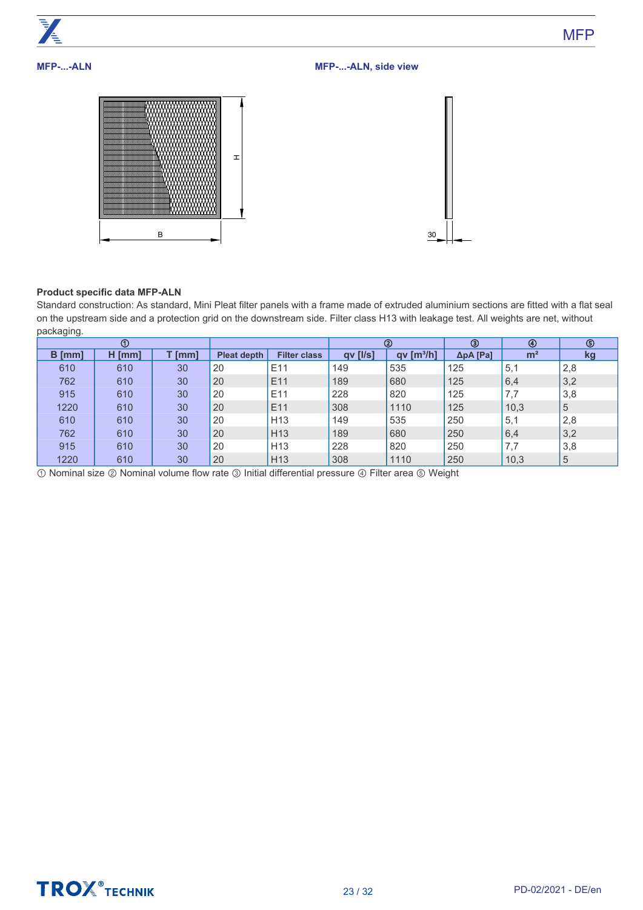

# **Product specific data MFP-ALN**

Standard construction: As standard, Mini Pleat filter panels with a frame made of extruded aluminium sections are fitted with a flat seal on the upstream side and a protection grid on the downstream side. Filter class H13 with leakage test. All weights are net, without packaging.

|          | $^{\circ}$ |        |                    |                     |          | ➁                      | ◉                 | ◉              | $\circledcirc$ |
|----------|------------|--------|--------------------|---------------------|----------|------------------------|-------------------|----------------|----------------|
| $B$ [mm] | $H$ [mm]   | T [mm] | <b>Pleat depth</b> | <b>Filter class</b> | qv [l/s] | qv [m <sup>3</sup> /h] | $\Delta p$ A [Pa] | m <sup>2</sup> | kg             |
| 610      | 610        | 30     | 20                 | E <sub>11</sub>     | 149      | 535                    | 125               | 5,1            | 2,8            |
| 762      | 610        | 30     | 20                 | E <sub>11</sub>     | 189      | 680                    | 125               | 6,4            | 3,2            |
| 915      | 610        | 30     | 20                 | E <sub>11</sub>     | 228      | 820                    | 125               | 7,7            | 3,8            |
| 1220     | 610        | 30     | 20                 | E <sub>11</sub>     | 308      | 1110                   | 125               | 10,3           | 5              |
| 610      | 610        | 30     | 20                 | H <sub>13</sub>     | 149      | 535                    | 250               | 5,1            | 2,8            |
| 762      | 610        | 30     | 20                 | H <sub>13</sub>     | 189      | 680                    | 250               | 6,4            | 3,2            |
| 915      | 610        | 30     | 20                 | H <sub>13</sub>     | 228      | 820                    | 250               | 7,7            | 3,8            |
| 1220     | 610        | 30     | 20                 | H <sub>13</sub>     | 308      | 1110                   | 250               | 10,3           | 5              |

① Nominal size ② Nominal volume flow rate ③ Initial differential pressure ④ Filter area ⑤ Weight



**MFP**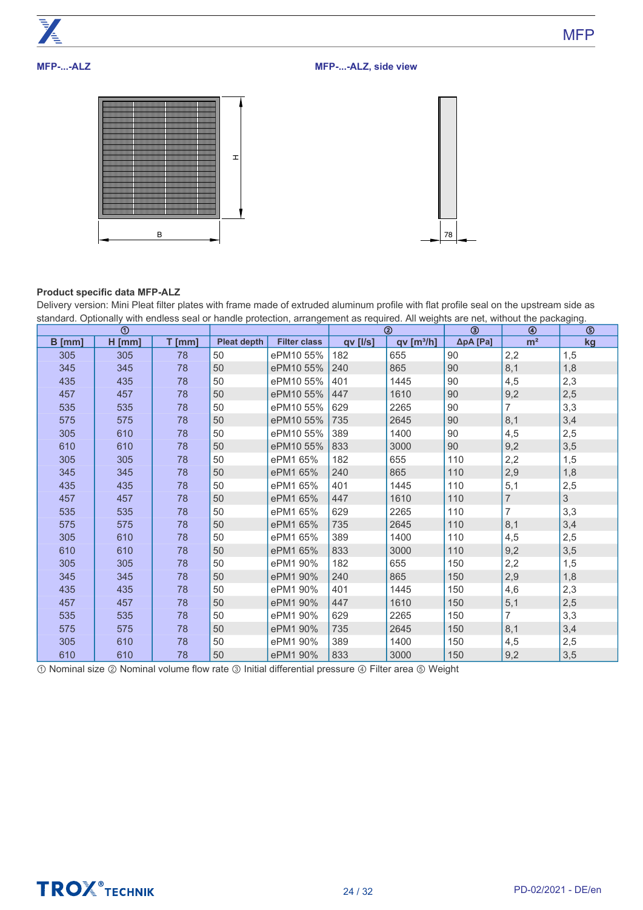

# **MFP-...-ALZ**

**MFP-...-ALZ, side view**





# **Product specific data MFP-ALZ**

Delivery version: Mini Pleat filter plates with frame made of extruded aluminum profile with flat profile seal on the upstream side as standard. Optionally with endless seal or handle protection, arrangement as required. All weights are net, without the packaging.

|          | $^\circledR$ |          |                    |                     |          | $^{\circledR}$         | ③                 | ⊛              | ⑤           |
|----------|--------------|----------|--------------------|---------------------|----------|------------------------|-------------------|----------------|-------------|
| $B$ [mm] | $H$ [mm]     | $T$ [mm] | <b>Pleat depth</b> | <b>Filter class</b> | qv [l/s] | qv [m <sup>3</sup> /h] | $\Delta p$ A [Pa] | m <sup>2</sup> | kg          |
| 305      | 305          | 78       | 50                 | ePM10 55%           | 182      | 655                    | 90                | 2,2            | 1,5         |
| 345      | 345          | 78       | 50                 | ePM10 55%           | 240      | 865                    | 90                | 8,1            | 1,8         |
| 435      | 435          | 78       | 50                 | ePM10 55%           | 401      | 1445                   | 90                | 4,5            | 2,3         |
| 457      | 457          | 78       | 50                 | ePM10 55%           | 447      | 1610                   | 90                | 9,2            | 2,5         |
| 535      | 535          | 78       | 50                 | ePM10 55%           | 629      | 2265                   | 90                | $\overline{7}$ | 3,3         |
| 575      | 575          | 78       | 50                 | ePM10 55%           | 735      | 2645                   | 90                | 8,1            | 3,4         |
| 305      | 610          | 78       | 50                 | ePM10 55%           | 389      | 1400                   | 90                | 4,5            | 2,5         |
| 610      | 610          | 78       | 50                 | ePM10 55%           | 833      | 3000                   | 90                | 9,2            | 3,5         |
| 305      | 305          | 78       | 50                 | ePM1 65%            | 182      | 655                    | 110               | 2,2            | 1,5         |
| 345      | 345          | 78       | 50                 | ePM1 65%            | 240      | 865                    | 110               | 2,9            | 1,8         |
| 435      | 435          | 78       | 50                 | ePM1 65%            | 401      | 1445                   | 110               | 5,1            | 2,5         |
| 457      | 457          | 78       | 50                 | ePM1 65%            | 447      | 1610                   | 110               | $\overline{7}$ | $\mathsf 3$ |
| 535      | 535          | 78       | 50                 | ePM1 65%            | 629      | 2265                   | 110               | $\overline{7}$ | 3,3         |
| 575      | 575          | 78       | 50                 | ePM1 65%            | 735      | 2645                   | 110               | 8,1            | 3,4         |
| 305      | 610          | 78       | 50                 | ePM1 65%            | 389      | 1400                   | 110               | 4,5            | 2,5         |
| 610      | 610          | 78       | 50                 | ePM1 65%            | 833      | 3000                   | 110               | 9,2            | 3,5         |
| 305      | 305          | 78       | 50                 | ePM1 90%            | 182      | 655                    | 150               | 2,2            | 1,5         |
| 345      | 345          | 78       | 50                 | ePM1 90%            | 240      | 865                    | 150               | 2,9            | 1,8         |
| 435      | 435          | 78       | 50                 | ePM1 90%            | 401      | 1445                   | 150               | 4,6            | 2,3         |
| 457      | 457          | 78       | 50                 | ePM1 90%            | 447      | 1610                   | 150               | 5,1            | 2,5         |
| 535      | 535          | 78       | 50                 | ePM1 90%            | 629      | 2265                   | 150               | $\overline{7}$ | 3,3         |
| 575      | 575          | 78       | 50                 | ePM1 90%            | 735      | 2645                   | 150               | 8,1            | 3,4         |
| 305      | 610          | 78       | 50                 | ePM1 90%            | 389      | 1400                   | 150               | 4,5            | 2,5         |
| 610      | 610          | 78       | 50                 | ePM1 90%            | 833      | 3000                   | 150               | 9,2            | 3,5         |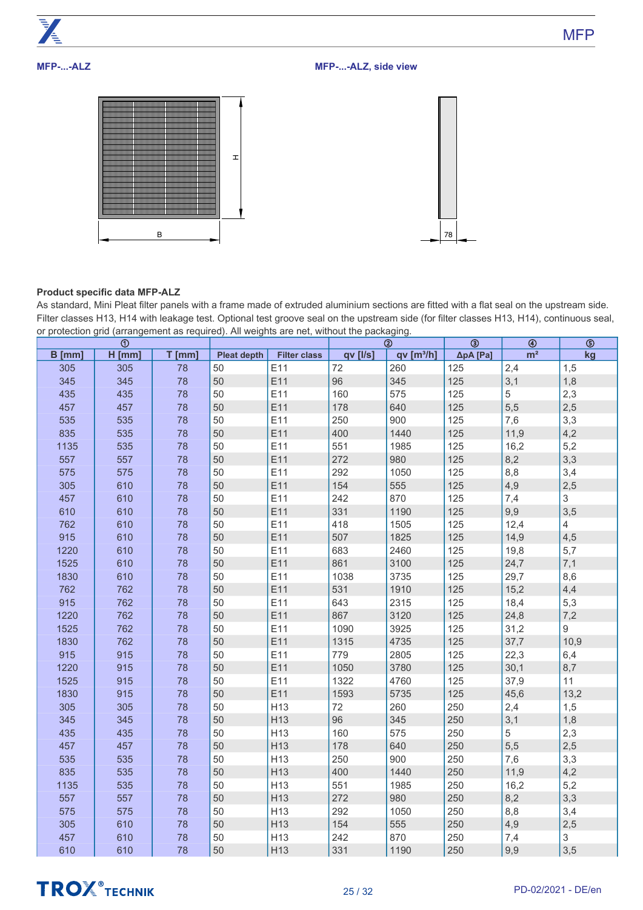

# **MFP-...-ALZ, side view**





# **Product specific data MFP-ALZ**

As standard, Mini Pleat filter panels with a frame made of extruded aluminium sections are fitted with a flat seal on the upstream side. Filter classes H13, H14 with leakage test. Optional test groove seal on the upstream side (for filter classes H13, H14), continuous seal, or protection grid (arrangement as required). All weights are net, without the packaging.

|        | $\odot$  |          |                    |                     |          | $^{\circledR}$       | $\circledcirc$ | $\circledast$  | $\overline{\circ}$ |
|--------|----------|----------|--------------------|---------------------|----------|----------------------|----------------|----------------|--------------------|
| B [mm] | $H$ [mm] | $T$ [mm] | <b>Pleat depth</b> | <b>Filter class</b> | qv [l/s] | qv[ <sup>3</sup> /h] | ΔpA [Pa]       | m <sup>2</sup> | kg                 |
| 305    | 305      | 78       | 50                 | E11                 | 72       | 260                  | 125            | 2,4            | 1,5                |
| 345    | 345      | 78       | 50                 | E11                 | 96       | 345                  | 125            | 3,1            | 1,8                |
| 435    | 435      | 78       | 50                 | E11                 | 160      | 575                  | 125            | 5              | 2,3                |
| 457    | 457      | 78       | 50                 | E11                 | 178      | 640                  | 125            | 5,5            | 2,5                |
| 535    | 535      | 78       | 50                 | E11                 | 250      | 900                  | 125            | 7,6            | 3,3                |
| 835    | 535      | 78       | 50                 | E11                 | 400      | 1440                 | 125            | 11,9           | 4,2                |
| 1135   | 535      | 78       | 50                 | E11                 | 551      | 1985                 | 125            | 16,2           | 5,2                |
| 557    | 557      | 78       | 50                 | E11                 | 272      | 980                  | 125            | 8,2            | 3,3                |
| 575    | 575      | 78       | 50                 | E11                 | 292      | 1050                 | 125            | 8,8            | 3,4                |
| 305    | 610      | 78       | 50                 | E11                 | 154      | 555                  | 125            | 4,9            | 2,5                |
| 457    | 610      | 78       | 50                 | E11                 | 242      | 870                  | 125            | 7,4            | $\mathfrak{S}$     |
| 610    | 610      | 78       | 50                 | E11                 | 331      | 1190                 | 125            | 9,9            | 3,5                |
| 762    | 610      | 78       | 50                 | E11                 | 418      | 1505                 | 125            | 12,4           | $\overline{4}$     |
| 915    | 610      | 78       | 50                 | E11                 | 507      | 1825                 | 125            | 14,9           | 4,5                |
| 1220   | 610      | 78       | 50                 | E11                 | 683      | 2460                 | 125            | 19,8           | 5,7                |
| 1525   | 610      | 78       | 50                 | E11                 | 861      | 3100                 | 125            | 24,7           | 7,1                |
| 1830   | 610      | 78       | 50                 | E11                 | 1038     | 3735                 | 125            | 29,7           | 8,6                |
| 762    | 762      | 78       | 50                 | E11                 | 531      | 1910                 | 125            | 15,2           | 4,4                |
| 915    | 762      | 78       | 50                 | E11                 | 643      | 2315                 | 125            | 18,4           | 5,3                |
| 1220   | 762      | 78       | 50                 | E11                 | 867      | 3120                 | 125            | 24,8           | 7,2                |
| 1525   | 762      | 78       | 50                 | E11                 | 1090     | 3925                 | 125            | 31,2           | 9                  |
| 1830   | 762      | 78       | 50                 | E11                 | 1315     | 4735                 | 125            | 37,7           | 10,9               |
| 915    | 915      | 78       | 50                 | E11                 | 779      | 2805                 | 125            | 22,3           | 6,4                |
| 1220   | 915      | 78       | 50                 | E11                 | 1050     | 3780                 | 125            | 30,1           | 8,7                |
| 1525   | 915      | 78       | 50                 | E11                 | 1322     | 4760                 | 125            | 37,9           | 11                 |
| 1830   | 915      | 78       | 50                 | E11                 | 1593     | 5735                 | 125            | 45,6           | 13,2               |
| 305    | 305      | 78       | 50                 | H <sub>13</sub>     | 72       | 260                  | 250            | 2,4            | 1,5                |
| 345    | 345      | 78       | 50                 | H13                 | 96       | 345                  | 250            | 3,1            | 1,8                |
| 435    | 435      | 78       | 50                 | H <sub>13</sub>     | 160      | 575                  | 250            | 5              | 2,3                |
| 457    | 457      | 78       | 50                 | H13                 | 178      | 640                  | 250            | 5,5            | 2,5                |
| 535    | 535      | 78       | 50                 | H <sub>13</sub>     | 250      | 900                  | 250            | 7,6            | 3,3                |
| 835    | 535      | 78       | 50                 | H <sub>13</sub>     | 400      | 1440                 | 250            | 11,9           | 4,2                |
| 1135   | 535      | 78       | 50                 | H13                 | 551      | 1985                 | 250            | 16,2           | 5,2                |
| 557    | 557      | 78       | 50                 | H <sub>13</sub>     | 272      | 980                  | 250            | 8,2            | 3,3                |
| 575    | 575      | 78       | 50                 | H13                 | 292      | 1050                 | 250            | 8,8            | 3,4                |
| 305    | 610      | 78       | 50                 | H13                 | 154      | 555                  | 250            | 4,9            | 2,5                |
| 457    | 610      | 78       | 50                 | H13                 | 242      | 870                  | 250            | 7,4            | 3                  |
| 610    | 610      | 78       | 50                 | H13                 | 331      | 1190                 | 250            | 9,9            | 3,5                |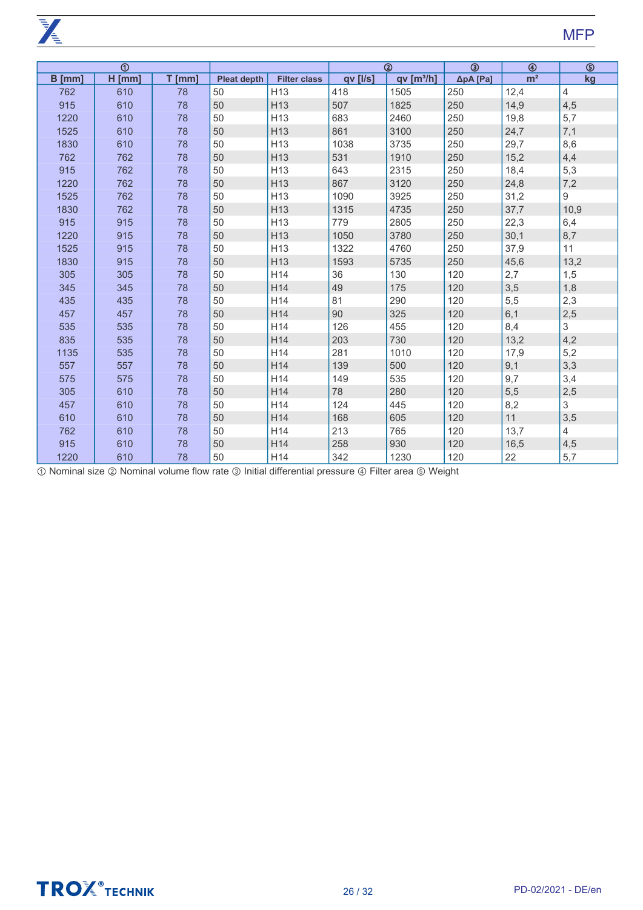$\frac{1}{\sqrt{\frac{1}{2}}}$ 

|               | $\overline{\circledcirc}$ |          |                    |                     |          | $^{\circledR}$       | $\overline{\circledcirc}$ | $\circledast$  | $\overline{\circledcirc}$ |
|---------------|---------------------------|----------|--------------------|---------------------|----------|----------------------|---------------------------|----------------|---------------------------|
| <b>B</b> [mm] | $H$ [mm]                  | $T$ [mm] | <b>Pleat depth</b> | <b>Filter class</b> | qv [l/s] | qv[ <sup>3</sup> /h] | $\Delta p$ A [Pa]         | m <sup>2</sup> | kg                        |
| 762           | 610                       | 78       | 50                 | H <sub>13</sub>     | 418      | 1505                 | 250                       | 12,4           | 4                         |
| 915           | 610                       | 78       | 50                 | H <sub>13</sub>     | 507      | 1825                 | 250                       | 14,9           | 4,5                       |
| 1220          | 610                       | 78       | 50                 | H <sub>13</sub>     | 683      | 2460                 | 250                       | 19,8           | 5,7                       |
| 1525          | 610                       | 78       | 50                 | H13                 | 861      | 3100                 | 250                       | 24,7           | 7,1                       |
| 1830          | 610                       | 78       | 50                 | H <sub>13</sub>     | 1038     | 3735                 | 250                       | 29,7           | 8,6                       |
| 762           | 762                       | 78       | 50                 | H <sub>13</sub>     | 531      | 1910                 | 250                       | 15,2           | 4,4                       |
| 915           | 762                       | 78       | 50                 | H <sub>13</sub>     | 643      | 2315                 | 250                       | 18,4           | 5,3                       |
| 1220          | 762                       | 78       | 50                 | H <sub>13</sub>     | 867      | 3120                 | 250                       | 24,8           | 7,2                       |
| 1525          | 762                       | 78       | 50                 | H <sub>13</sub>     | 1090     | 3925                 | 250                       | 31,2           | 9                         |
| 1830          | 762                       | 78       | 50                 | H <sub>13</sub>     | 1315     | 4735                 | 250                       | 37,7           | 10,9                      |
| 915           | 915                       | 78       | 50                 | H <sub>13</sub>     | 779      | 2805                 | 250                       | 22,3           | 6,4                       |
| 1220          | 915                       | 78       | 50                 | H <sub>13</sub>     | 1050     | 3780                 | 250                       | 30,1           | 8,7                       |
| 1525          | 915                       | 78       | 50                 | H <sub>13</sub>     | 1322     | 4760                 | 250                       | 37,9           | 11                        |
| 1830          | 915                       | 78       | 50                 | H <sub>13</sub>     | 1593     | 5735                 | 250                       | 45,6           | 13,2                      |
| 305           | 305                       | 78       | 50                 | H14                 | 36       | 130                  | 120                       | 2,7            | 1,5                       |
| 345           | 345                       | 78       | 50                 | H14                 | 49       | 175                  | 120                       | 3,5            | 1,8                       |
| 435           | 435                       | 78       | 50                 | H14                 | 81       | 290                  | 120                       | 5,5            | 2,3                       |
| 457           | 457                       | 78       | 50                 | H14                 | 90       | 325                  | 120                       | 6,1            | 2,5                       |
| 535           | 535                       | 78       | 50                 | H14                 | 126      | 455                  | 120                       | 8,4            | 3                         |
| 835           | 535                       | 78       | 50                 | H14                 | 203      | 730                  | 120                       | 13,2           | 4,2                       |
| 1135          | 535                       | 78       | 50                 | H14                 | 281      | 1010                 | 120                       | 17,9           | 5,2                       |
| 557           | 557                       | 78       | 50                 | H14                 | 139      | 500                  | 120                       | 9,1            | 3,3                       |
| 575           | 575                       | 78       | 50                 | H14                 | 149      | 535                  | 120                       | 9,7            | 3,4                       |
| 305           | 610                       | 78       | 50                 | H14                 | 78       | 280                  | 120                       | 5,5            | 2,5                       |
| 457           | 610                       | 78       | 50                 | H14                 | 124      | 445                  | 120                       | 8,2            | 3                         |
| 610           | 610                       | 78       | 50                 | H14                 | 168      | 605                  | 120                       | 11             | 3,5                       |
| 762           | 610                       | 78       | 50                 | H14                 | 213      | 765                  | 120                       | 13,7           | 4                         |
| 915           | 610                       | 78       | 50                 | H14                 | 258      | 930                  | 120                       | 16,5           | 4,5                       |
| 1220          | 610                       | 78       | 50                 | H14                 | 342      | 1230                 | 120                       | 22             | 5,7                       |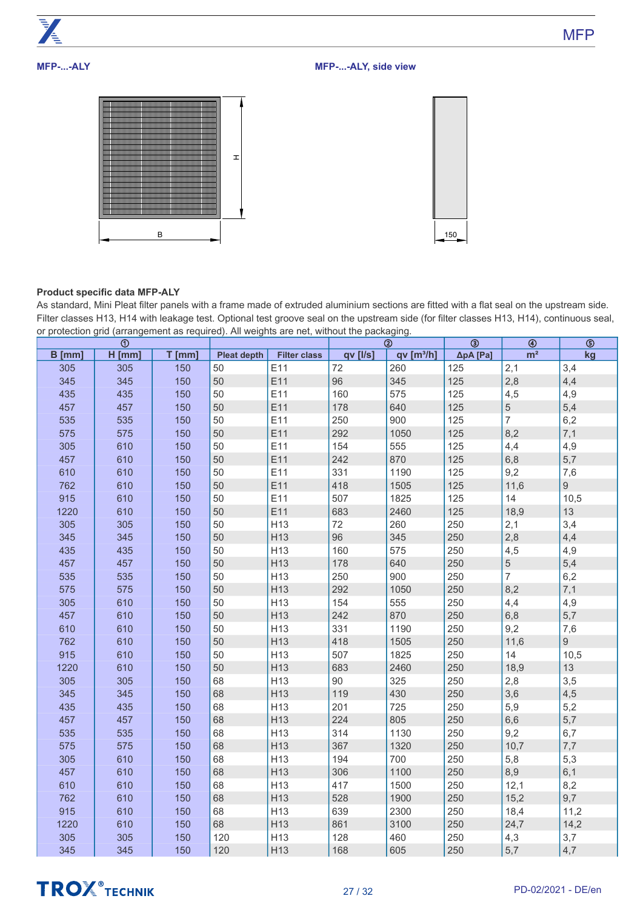

# **MFP-...-ALY, side view**





# **Product specific data MFP-ALY**

As standard, Mini Pleat filter panels with a frame made of extruded aluminium sections are fitted with a flat seal on the upstream side. Filter classes H13, H14 with leakage test. Optional test groove seal on the upstream side (for filter classes H13, H14), continuous seal, or protection grid (arrangement as required). All weights are net, without the packaging.

|          | $^{\circ}$ |          |                    |                     |          | $^{\circledR}$       | $\circledcirc$ | $\circledast$  | $\overline{\circ}$ |
|----------|------------|----------|--------------------|---------------------|----------|----------------------|----------------|----------------|--------------------|
| $B$ [mm] | $H$ [mm]   | $T$ [mm] | <b>Pleat depth</b> | <b>Filter class</b> | qv [l/s] | qv[ <sup>3</sup> /h] | ΔpA [Pa]       | m <sup>2</sup> | kg                 |
| 305      | 305        | 150      | 50                 | E11                 | 72       | 260                  | 125            | 2,1            | 3,4                |
| 345      | 345        | 150      | 50                 | E11                 | 96       | 345                  | 125            | 2,8            | 4,4                |
| 435      | 435        | 150      | 50                 | E11                 | 160      | 575                  | 125            | 4,5            | 4,9                |
| 457      | 457        | 150      | 50                 | E11                 | 178      | 640                  | 125            | $\overline{5}$ | 5,4                |
| 535      | 535        | 150      | 50                 | E11                 | 250      | 900                  | 125            | $\overline{7}$ | 6,2                |
| 575      | 575        | 150      | 50                 | E11                 | 292      | 1050                 | 125            | 8,2            | 7,1                |
| 305      | 610        | 150      | 50                 | E11                 | 154      | 555                  | 125            | 4,4            | 4,9                |
| 457      | 610        | 150      | 50                 | E11                 | 242      | 870                  | 125            | 6,8            | 5,7                |
| 610      | 610        | 150      | 50                 | E11                 | 331      | 1190                 | 125            | 9,2            | 7,6                |
| 762      | 610        | 150      | 50                 | E11                 | 418      | 1505                 | 125            | 11,6           | $9\phantom{.0}$    |
| 915      | 610        | 150      | 50                 | E11                 | 507      | 1825                 | 125            | 14             | 10,5               |
| 1220     | 610        | 150      | 50                 | E11                 | 683      | 2460                 | 125            | 18,9           | 13                 |
| 305      | 305        | 150      | 50                 | H <sub>13</sub>     | 72       | 260                  | 250            | 2,1            | 3,4                |
| 345      | 345        | 150      | 50                 | H <sub>13</sub>     | 96       | 345                  | 250            | 2,8            | 4,4                |
| 435      | 435        | 150      | 50                 | H <sub>13</sub>     | 160      | 575                  | 250            | 4,5            | 4,9                |
| 457      | 457        | 150      | 50                 | H13                 | 178      | 640                  | 250            | 5              | 5,4                |
| 535      | 535        | 150      | 50                 | H13                 | 250      | 900                  | 250            | $\overline{7}$ | 6,2                |
| 575      | 575        | 150      | 50                 | H <sub>13</sub>     | 292      | 1050                 | 250            | 8,2            | 7,1                |
| 305      | 610        | 150      | 50                 | H <sub>13</sub>     | 154      | 555                  | 250            | 4,4            | 4,9                |
| 457      | 610        | 150      | 50                 | H <sub>13</sub>     | 242      | 870                  | 250            | 6,8            | 5,7                |
| 610      | 610        | 150      | 50                 | H <sub>13</sub>     | 331      | 1190                 | 250            | 9,2            | 7,6                |
| 762      | 610        | 150      | 50                 | H <sub>13</sub>     | 418      | 1505                 | 250            | 11,6           | 9                  |
| 915      | 610        | 150      | 50                 | H <sub>13</sub>     | 507      | 1825                 | 250            | 14             | 10,5               |
| 1220     | 610        | 150      | 50                 | H <sub>13</sub>     | 683      | 2460                 | 250            | 18,9           | 13                 |
| 305      | 305        | 150      | 68                 | H <sub>13</sub>     | 90       | 325                  | 250            | 2,8            | 3,5                |
| 345      | 345        | 150      | 68                 | H13                 | 119      | 430                  | 250            | 3,6            | 4,5                |
| 435      | 435        | 150      | 68                 | H <sub>13</sub>     | 201      | 725                  | 250            | 5,9            | 5,2                |
| 457      | 457        | 150      | 68                 | H13                 | 224      | 805                  | 250            | 6,6            | 5,7                |
| 535      | 535        | 150      | 68                 | H13                 | 314      | 1130                 | 250            | 9,2            | 6,7                |
| 575      | 575        | 150      | 68                 | H <sub>13</sub>     | 367      | 1320                 | 250            | 10,7           | 7,7                |
| 305      | 610        | 150      | 68                 | H13                 | 194      | 700                  | 250            | 5,8            | 5,3                |
| 457      | 610        | 150      | 68                 | H13                 | 306      | 1100                 | 250            | 8,9            | 6,1                |
| 610      | 610        | 150      | 68                 | H13                 | 417      | 1500                 | 250            | 12,1           | 8,2                |
| 762      | 610        | 150      | 68                 | H13                 | 528      | 1900                 | 250            | 15,2           | 9,7                |
| 915      | 610        | 150      | 68                 | H <sub>13</sub>     | 639      | 2300                 | 250            | 18,4           | 11,2               |
| 1220     | 610        | 150      | 68                 | H13                 | 861      | 3100                 | 250            | 24,7           | 14,2               |
| 305      | 305        | 150      | 120                | H13                 | 128      | 460                  | 250            | 4,3            | 3,7                |
| 345      | 345        | 150      | 120                | H13                 | 168      | 605                  | 250            | 5,7            | 4,7                |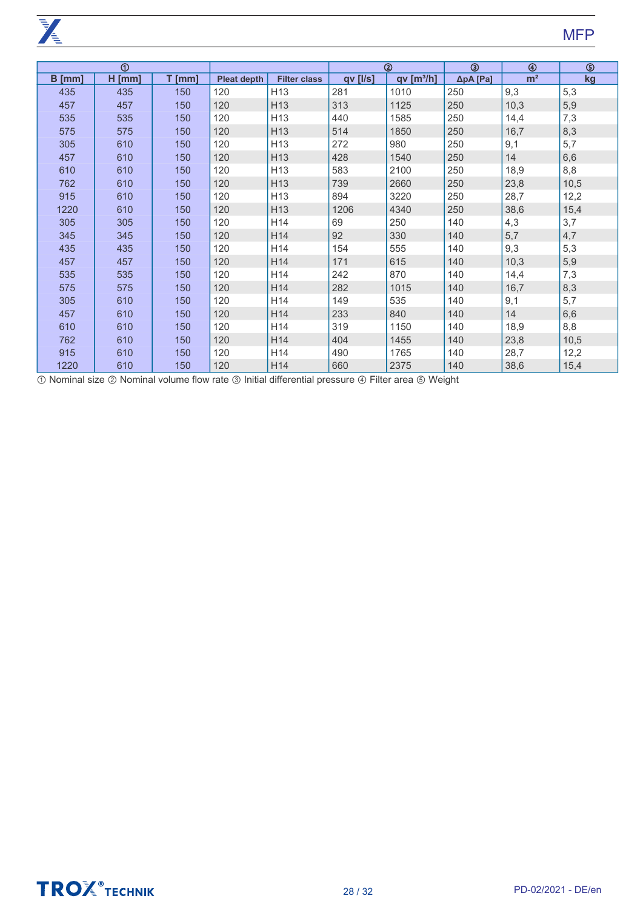**PARTIES** 

|          | $^{\circ}$ |          |                    |                     |                 | $^{\circledR}$       | ③        | $\circledast$  | $\circledS$ |
|----------|------------|----------|--------------------|---------------------|-----------------|----------------------|----------|----------------|-------------|
| $B$ [mm] | $H$ [mm]   | $T$ [mm] | <b>Pleat depth</b> | <b>Filter class</b> | <b>qv</b> [l/s] | qv[ <sup>3</sup> /h] | ΔpA [Pa] | m <sup>2</sup> | kg          |
| 435      | 435        | 150      | 120                | H <sub>13</sub>     | 281             | 1010                 | 250      | 9,3            | 5,3         |
| 457      | 457        | 150      | 120                | H <sub>13</sub>     | 313             | 1125                 | 250      | 10,3           | 5,9         |
| 535      | 535        | 150      | 120                | H <sub>13</sub>     | 440             | 1585                 | 250      | 14,4           | 7,3         |
| 575      | 575        | 150      | 120                | H13                 | 514             | 1850                 | 250      | 16,7           | 8,3         |
| 305      | 610        | 150      | 120                | H13                 | 272             | 980                  | 250      | 9,1            | 5,7         |
| 457      | 610        | 150      | 120                | H <sub>13</sub>     | 428             | 1540                 | 250      | 14             | 6,6         |
| 610      | 610        | 150      | 120                | H <sub>13</sub>     | 583             | 2100                 | 250      | 18,9           | 8,8         |
| 762      | 610        | 150      | 120                | H <sub>13</sub>     | 739             | 2660                 | 250      | 23,8           | 10,5        |
| 915      | 610        | 150      | 120                | H <sub>13</sub>     | 894             | 3220                 | 250      | 28,7           | 12,2        |
| 1220     | 610        | 150      | 120                | H <sub>13</sub>     | 1206            | 4340                 | 250      | 38,6           | 15,4        |
| 305      | 305        | 150      | 120                | H14                 | 69              | 250                  | 140      | 4,3            | 3,7         |
| 345      | 345        | 150      | 120                | H14                 | 92              | 330                  | 140      | 5,7            | 4,7         |
| 435      | 435        | 150      | 120                | H14                 | 154             | 555                  | 140      | 9,3            | 5,3         |
| 457      | 457        | 150      | 120                | H14                 | 171             | 615                  | 140      | 10,3           | 5,9         |
| 535      | 535        | 150      | 120                | H <sub>14</sub>     | 242             | 870                  | 140      | 14,4           | 7,3         |
| 575      | 575        | 150      | 120                | H14                 | 282             | 1015                 | 140      | 16,7           | 8,3         |
| 305      | 610        | 150      | 120                | H14                 | 149             | 535                  | 140      | 9,1            | 5,7         |
| 457      | 610        | 150      | 120                | H14                 | 233             | 840                  | 140      | 14             | 6,6         |
| 610      | 610        | 150      | 120                | H14                 | 319             | 1150                 | 140      | 18,9           | 8,8         |
| 762      | 610        | 150      | 120                | H <sub>14</sub>     | 404             | 1455                 | 140      | 23,8           | 10,5        |
| 915      | 610        | 150      | 120                | H14                 | 490             | 1765                 | 140      | 28,7           | 12,2        |
| 1220     | 610        | 150      | 120                | H <sub>14</sub>     | 660             | 2375                 | 140      | 38,6           | 15,4        |

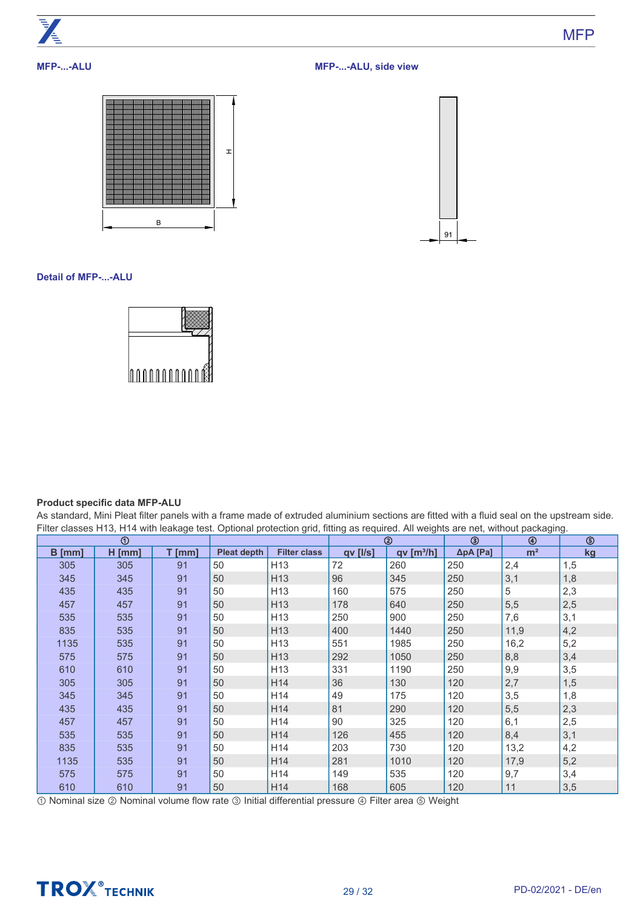

**MFP-...-ALU, side view**





**Detail of MFP-...-ALU**



# **Product specific data MFP-ALU**

As standard, Mini Pleat filter panels with a frame made of extruded aluminium sections are fitted with a fluid seal on the upstream side. Filter classes H13, H14 with leakage test. Optional protection grid, fitting as required. All weights are net, without packaging.

| $^\copyright$ |          |        |                    |                     | $^{\circledR}$ |                       |                   | ④              | ⑤   |
|---------------|----------|--------|--------------------|---------------------|----------------|-----------------------|-------------------|----------------|-----|
| $B$ [mm]      | $H$ [mm] | T [mm] | <b>Pleat depth</b> | <b>Filter class</b> | $qv$ [ $I/s$ ] | qv[m <sup>3</sup> /h] | $\Delta p$ A [Pa] | m <sup>2</sup> | kg  |
| 305           | 305      | 91     | 50                 | H <sub>13</sub>     | 72             | 260                   | 250               | 2,4            | 1,5 |
| 345           | 345      | 91     | 50                 | H <sub>13</sub>     | 96             | 345                   | 250               | 3,1            | 1,8 |
| 435           | 435      | 91     | 50                 | H <sub>13</sub>     | 160            | 575                   | 250               | 5              | 2,3 |
| 457           | 457      | 91     | 50                 | H <sub>13</sub>     | 178            | 640                   | 250               | 5,5            | 2,5 |
| 535           | 535      | 91     | 50                 | H <sub>13</sub>     | 250            | 900                   | 250               | 7,6            | 3,1 |
| 835           | 535      | 91     | 50                 | H <sub>13</sub>     | 400            | 1440                  | 250               | 11,9           | 4,2 |
| 1135          | 535      | 91     | 50                 | H <sub>13</sub>     | 551            | 1985                  | 250               | 16,2           | 5,2 |
| 575           | 575      | 91     | 50                 | H <sub>13</sub>     | 292            | 1050                  | 250               | 8,8            | 3,4 |
| 610           | 610      | 91     | 50                 | H <sub>13</sub>     | 331            | 1190                  | 250               | 9,9            | 3,5 |
| 305           | 305      | 91     | 50                 | H14                 | 36             | 130                   | 120               | 2,7            | 1,5 |
| 345           | 345      | 91     | 50                 | H <sub>14</sub>     | 49             | 175                   | 120               | 3,5            | 1,8 |
| 435           | 435      | 91     | 50                 | H <sub>14</sub>     | 81             | 290                   | 120               | 5,5            | 2,3 |
| 457           | 457      | 91     | 50                 | H <sub>14</sub>     | 90             | 325                   | 120               | 6,1            | 2,5 |
| 535           | 535      | 91     | 50                 | H14                 | 126            | 455                   | 120               | 8,4            | 3,1 |
| 835           | 535      | 91     | 50                 | H <sub>14</sub>     | 203            | 730                   | 120               | 13,2           | 4,2 |
| 1135          | 535      | 91     | 50                 | H <sub>14</sub>     | 281            | 1010                  | 120               | 17,9           | 5,2 |
| 575           | 575      | 91     | 50                 | H14                 | 149            | 535                   | 120               | 9,7            | 3,4 |
| 610           | 610      | 91     | 50                 | H14                 | 168            | 605                   | 120               | 11             | 3,5 |

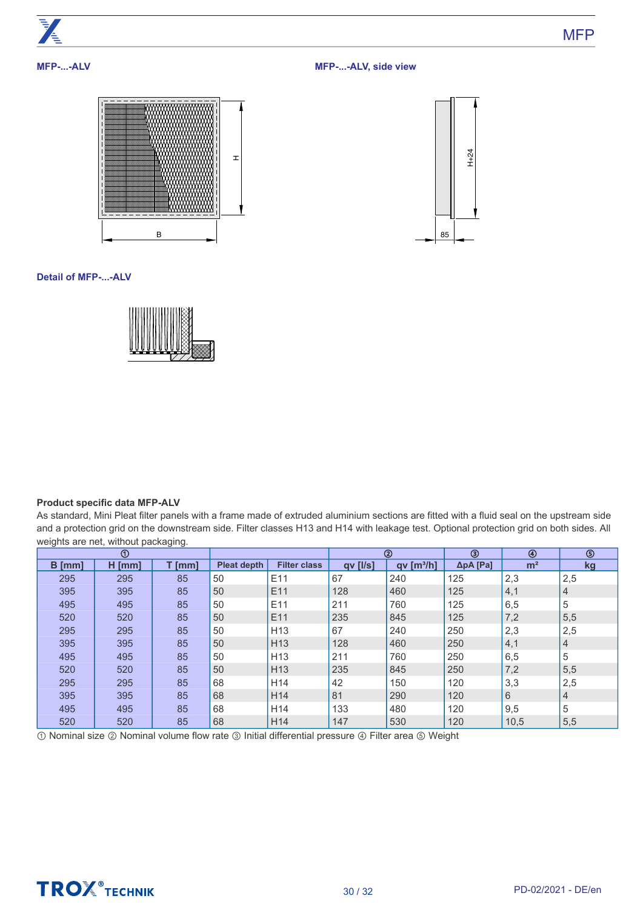

# **MFP-...-ALV**

**MFP-...-ALV, side view**





**Detail of MFP-...-ALV**



# **Product specific data MFP-ALV**

As standard, Mini Pleat filter panels with a frame made of extruded aluminium sections are fitted with a fluid seal on the upstream side and a protection grid on the downstream side. Filter classes H13 and H14 with leakage test. Optional protection grid on both sides. All weights are net, without packaging.

| $^{\circ}$ |          |          |                    |                     | ➁        |                      | ◉                 | $\circledcirc$ | ⑤              |
|------------|----------|----------|--------------------|---------------------|----------|----------------------|-------------------|----------------|----------------|
| $B$ [mm]   | $H$ [mm] | $T$ [mm] | <b>Pleat depth</b> | <b>Filter class</b> | qv [l/s] | qv[ <sup>3</sup> /h] | $\Delta p$ A [Pa] | m <sup>2</sup> | <u>kg</u>      |
| 295        | 295      | 85       | 50                 | E11                 | 67       | 240                  | 125               | 2,3            | 2,5            |
| 395        | 395      | 85       | 50                 | E11                 | 128      | 460                  | 125               | 4,1            | 4              |
| 495        | 495      | 85       | 50                 | E11                 | 211      | 760                  | 125               | 6,5            | 5              |
| 520        | 520      | 85       | 50                 | E11                 | 235      | 845                  | 125               | 7,2            | 5,5            |
| 295        | 295      | 85       | 50                 | H <sub>13</sub>     | 67       | 240                  | 250               | 2,3            | 2,5            |
| 395        | 395      | 85       | 50                 | H <sub>13</sub>     | 128      | 460                  | 250               | 4,1            | 4              |
| 495        | 495      | 85       | 50                 | H <sub>13</sub>     | 211      | 760                  | 250               | 6,5            | 5              |
| 520        | 520      | 85       | 50                 | H <sub>13</sub>     | 235      | 845                  | 250               | 7,2            | 5,5            |
| 295        | 295      | 85       | 68                 | H <sub>14</sub>     | 42       | 150                  | 120               | 3,3            | 2,5            |
| 395        | 395      | 85       | 68                 | H <sub>14</sub>     | 81       | 290                  | 120               | 6              | $\overline{4}$ |
| 495        | 495      | 85       | 68                 | H <sub>14</sub>     | 133      | 480                  | 120               | 9,5            | 5              |
| 520        | 520      | 85       | 68                 | H <sub>14</sub>     | 147      | 530                  | 120               | 10,5           | 5,5            |

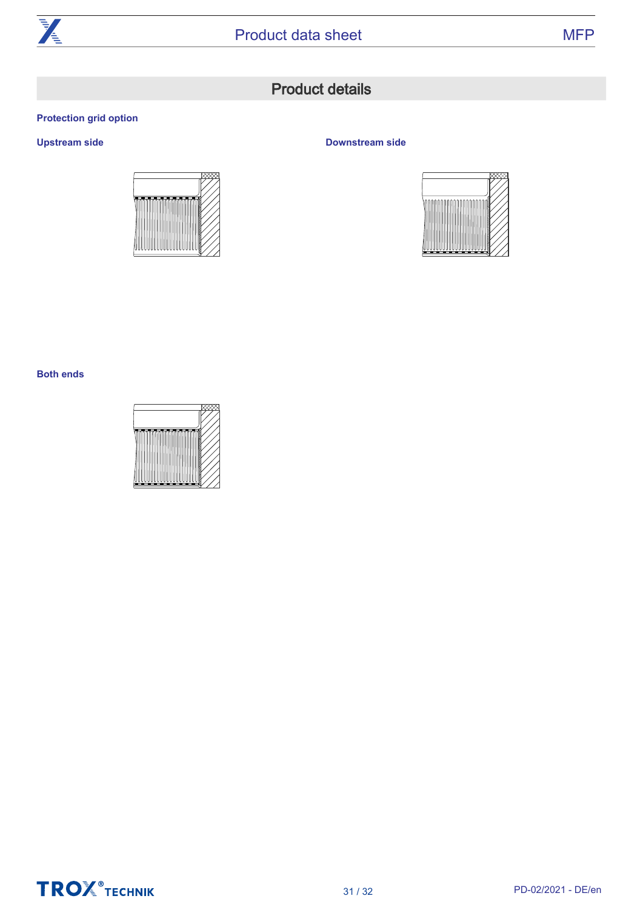

# Product details

# <span id="page-30-0"></span>**Protection grid option**



# **Upstream side Downstream side**



# **Both ends**